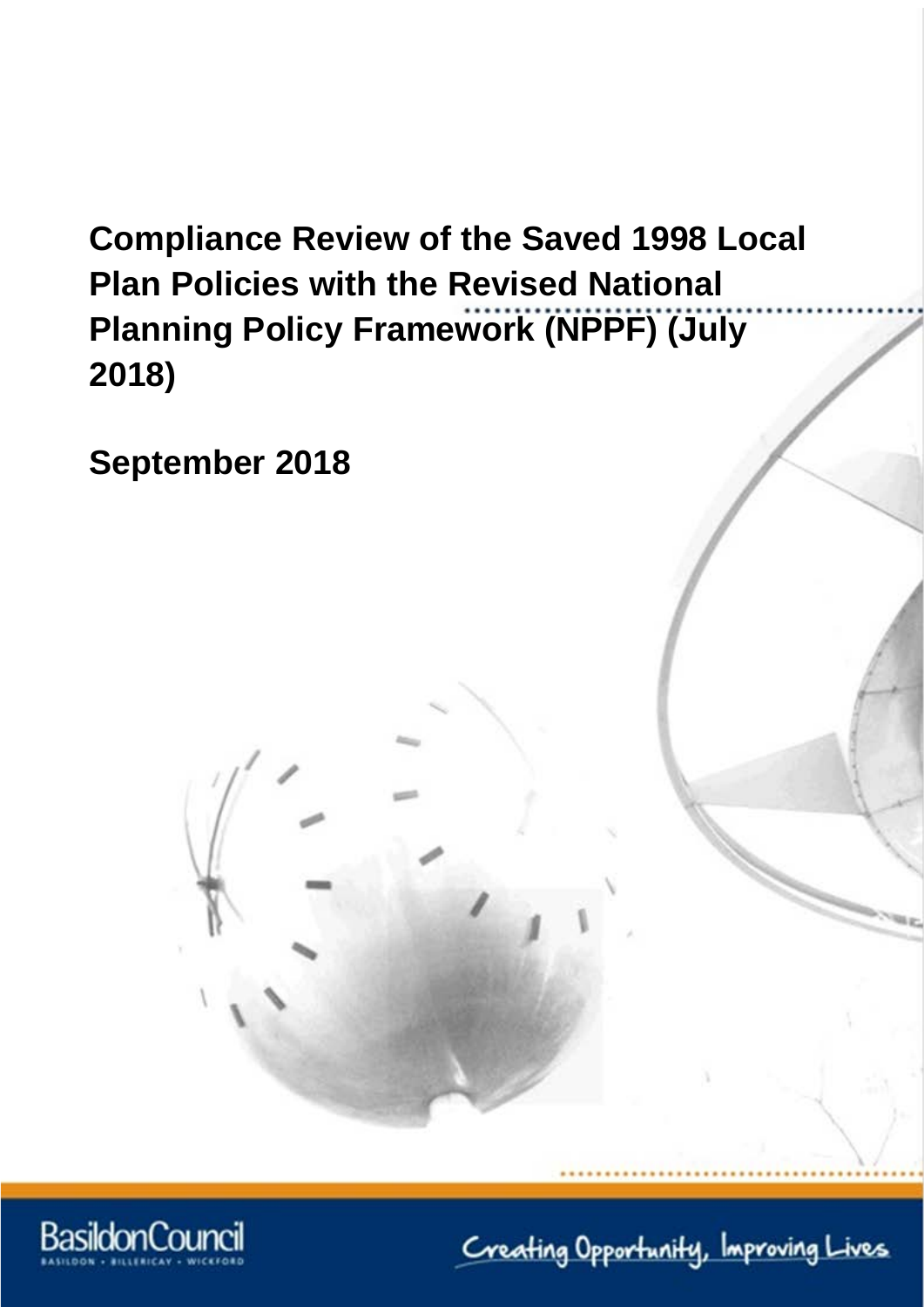# **Compliance Review of the Saved 1998 Local Plan Policies with the Revised National Planning Policy Framework (NPPF) (July 2018)**

**September 2018**



Creating Opportunity, Improving Lives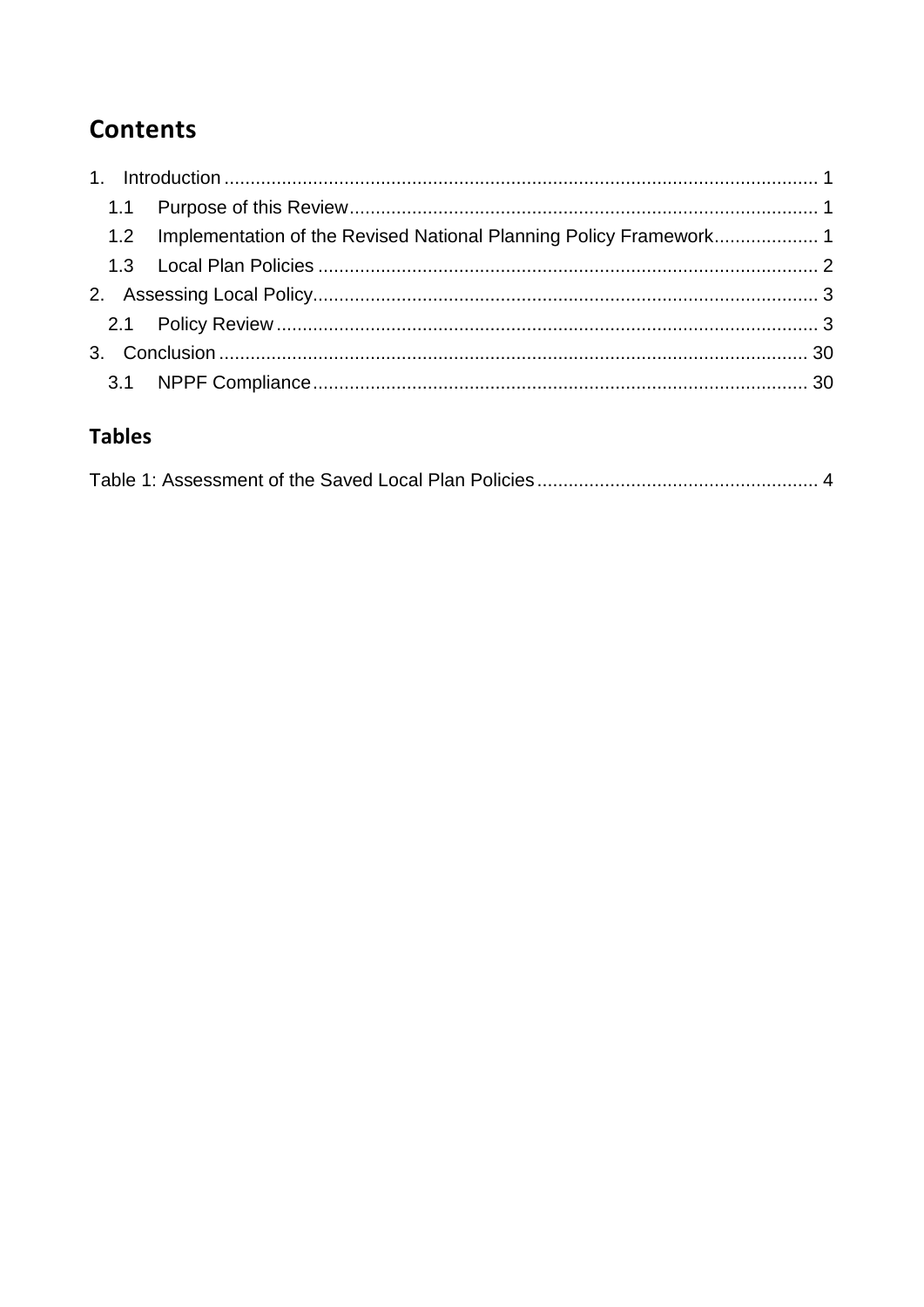# **Contents**

|  | 1.2 Implementation of the Revised National Planning Policy Framework |  |
|--|----------------------------------------------------------------------|--|
|  |                                                                      |  |
|  |                                                                      |  |
|  |                                                                      |  |
|  |                                                                      |  |
|  |                                                                      |  |

### **Tables**

|--|--|--|--|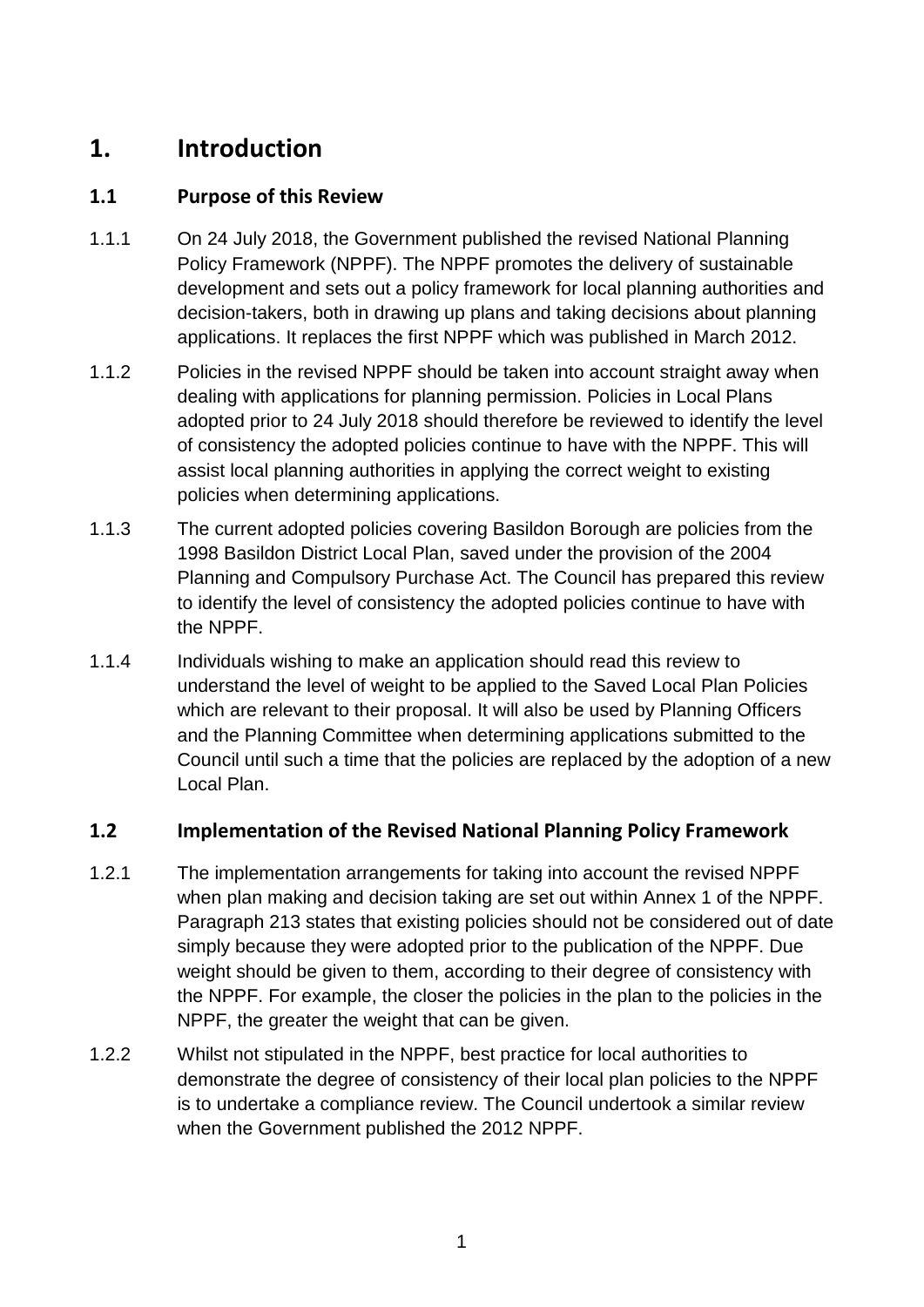### <span id="page-3-0"></span>**1. Introduction**

#### <span id="page-3-1"></span>**1.1 Purpose of this Review**

- 1.1.1 On 24 July 2018, the Government published the revised National Planning Policy Framework (NPPF). The NPPF promotes the delivery of sustainable development and sets out a policy framework for local planning authorities and decision-takers, both in drawing up plans and taking decisions about planning applications. It replaces the first NPPF which was published in March 2012.
- 1.1.2 Policies in the revised NPPF should be taken into account straight away when dealing with applications for planning permission. Policies in Local Plans adopted prior to 24 July 2018 should therefore be reviewed to identify the level of consistency the adopted policies continue to have with the NPPF. This will assist local planning authorities in applying the correct weight to existing policies when determining applications.
- 1.1.3 The current adopted policies covering Basildon Borough are policies from the 1998 Basildon District Local Plan, saved under the provision of the 2004 Planning and Compulsory Purchase Act. The Council has prepared this review to identify the level of consistency the adopted policies continue to have with the NPPF.
- 1.1.4 Individuals wishing to make an application should read this review to understand the level of weight to be applied to the Saved Local Plan Policies which are relevant to their proposal. It will also be used by Planning Officers and the Planning Committee when determining applications submitted to the Council until such a time that the policies are replaced by the adoption of a new Local Plan.

#### <span id="page-3-2"></span>**1.2 Implementation of the Revised National Planning Policy Framework**

- 1.2.1 The implementation arrangements for taking into account the revised NPPF when plan making and decision taking are set out within Annex 1 of the NPPF. Paragraph 213 states that existing policies should not be considered out of date simply because they were adopted prior to the publication of the NPPF. Due weight should be given to them, according to their degree of consistency with the NPPF. For example, the closer the policies in the plan to the policies in the NPPF, the greater the weight that can be given.
- 1.2.2 Whilst not stipulated in the NPPF, best practice for local authorities to demonstrate the degree of consistency of their local plan policies to the NPPF is to undertake a compliance review. The Council undertook a similar review when the Government published the 2012 NPPF.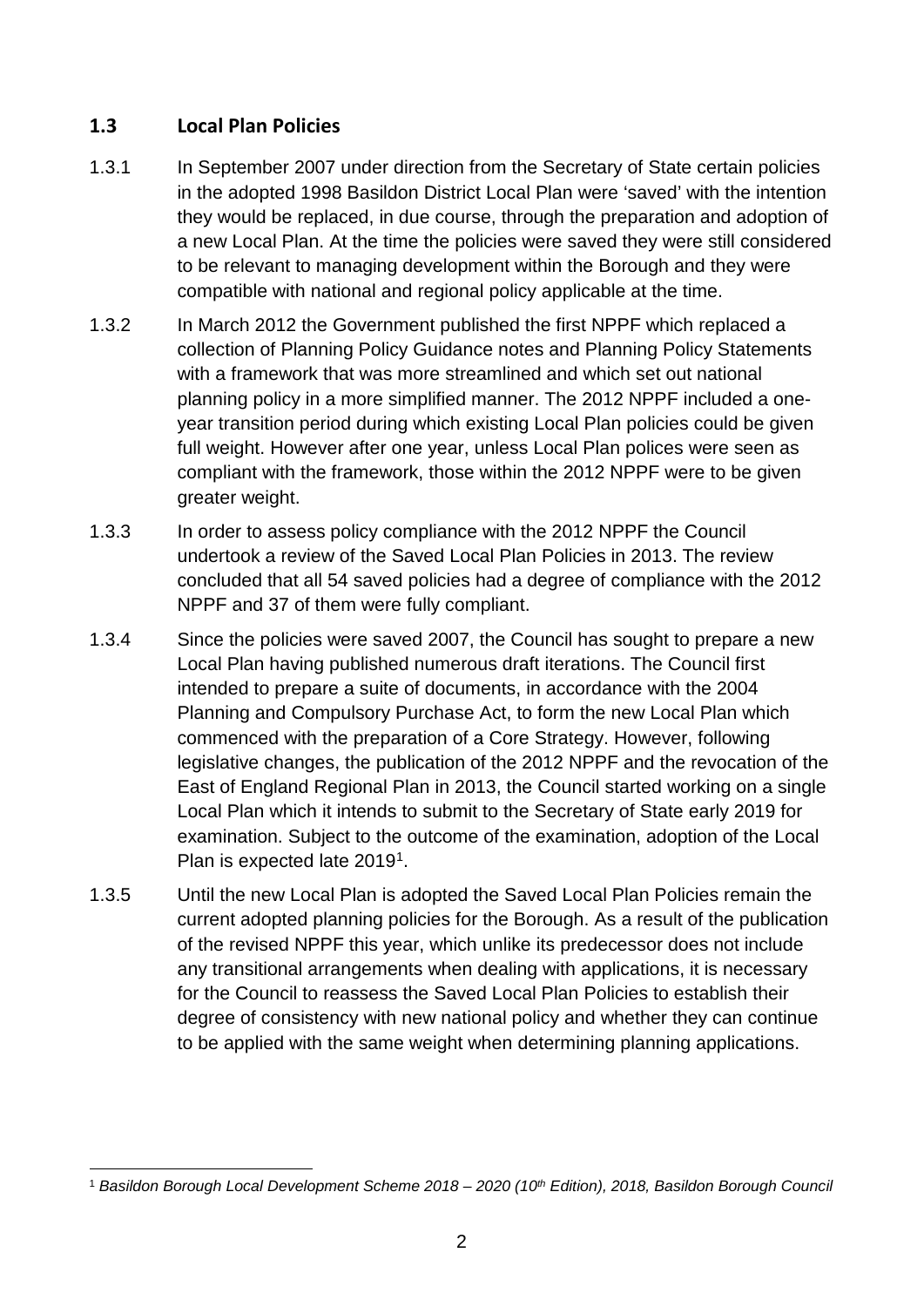#### <span id="page-4-0"></span>**1.3 Local Plan Policies**

- 1.3.1 In September 2007 under direction from the Secretary of State certain policies in the adopted 1998 Basildon District Local Plan were 'saved' with the intention they would be replaced, in due course, through the preparation and adoption of a new Local Plan. At the time the policies were saved they were still considered to be relevant to managing development within the Borough and they were compatible with national and regional policy applicable at the time.
- 1.3.2 In March 2012 the Government published the first NPPF which replaced a collection of Planning Policy Guidance notes and Planning Policy Statements with a framework that was more streamlined and which set out national planning policy in a more simplified manner. The 2012 NPPF included a oneyear transition period during which existing Local Plan policies could be given full weight. However after one year, unless Local Plan polices were seen as compliant with the framework, those within the 2012 NPPF were to be given greater weight.
- 1.3.3 In order to assess policy compliance with the 2012 NPPF the Council undertook a review of the Saved Local Plan Policies in 2013. The review concluded that all 54 saved policies had a degree of compliance with the 2012 NPPF and 37 of them were fully compliant.
- 1.3.4 Since the policies were saved 2007, the Council has sought to prepare a new Local Plan having published numerous draft iterations. The Council first intended to prepare a suite of documents, in accordance with the 2004 Planning and Compulsory Purchase Act, to form the new Local Plan which commenced with the preparation of a Core Strategy. However, following legislative changes, the publication of the 2012 NPPF and the revocation of the East of England Regional Plan in 2013, the Council started working on a single Local Plan which it intends to submit to the Secretary of State early 2019 for examination. Subject to the outcome of the examination, adoption of the Local Plan is expected late 2019<sup>1</sup>.
- 1.3.5 Until the new Local Plan is adopted the Saved Local Plan Policies remain the current adopted planning policies for the Borough. As a result of the publication of the revised NPPF this year, which unlike its predecessor does not include any transitional arrangements when dealing with applications, it is necessary for the Council to reassess the Saved Local Plan Policies to establish their degree of consistency with new national policy and whether they can continue to be applied with the same weight when determining planning applications.

<span id="page-4-1"></span> <sup>1</sup> *Basildon Borough Local Development Scheme 2018 – 2020 (10th Edition), 2018, Basildon Borough Council*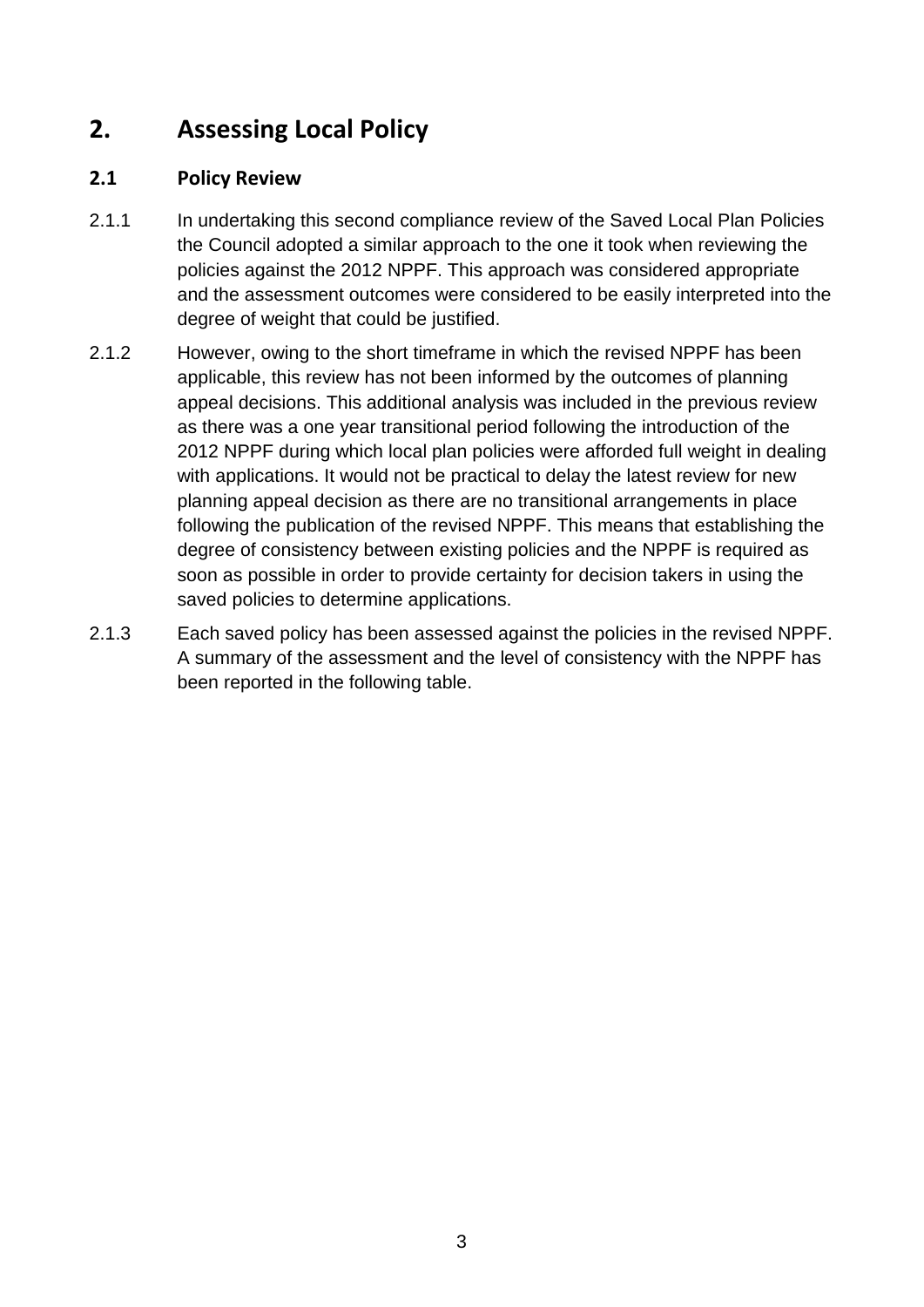## <span id="page-5-0"></span>**2. Assessing Local Policy**

#### <span id="page-5-1"></span>**2.1 Policy Review**

- 2.1.1 In undertaking this second compliance review of the Saved Local Plan Policies the Council adopted a similar approach to the one it took when reviewing the policies against the 2012 NPPF. This approach was considered appropriate and the assessment outcomes were considered to be easily interpreted into the degree of weight that could be justified.
- 2.1.2 However, owing to the short timeframe in which the revised NPPF has been applicable, this review has not been informed by the outcomes of planning appeal decisions. This additional analysis was included in the previous review as there was a one year transitional period following the introduction of the 2012 NPPF during which local plan policies were afforded full weight in dealing with applications. It would not be practical to delay the latest review for new planning appeal decision as there are no transitional arrangements in place following the publication of the revised NPPF. This means that establishing the degree of consistency between existing policies and the NPPF is required as soon as possible in order to provide certainty for decision takers in using the saved policies to determine applications.
- 2.1.3 Each saved policy has been assessed against the policies in the revised NPPF. A summary of the assessment and the level of consistency with the NPPF has been reported in the following table.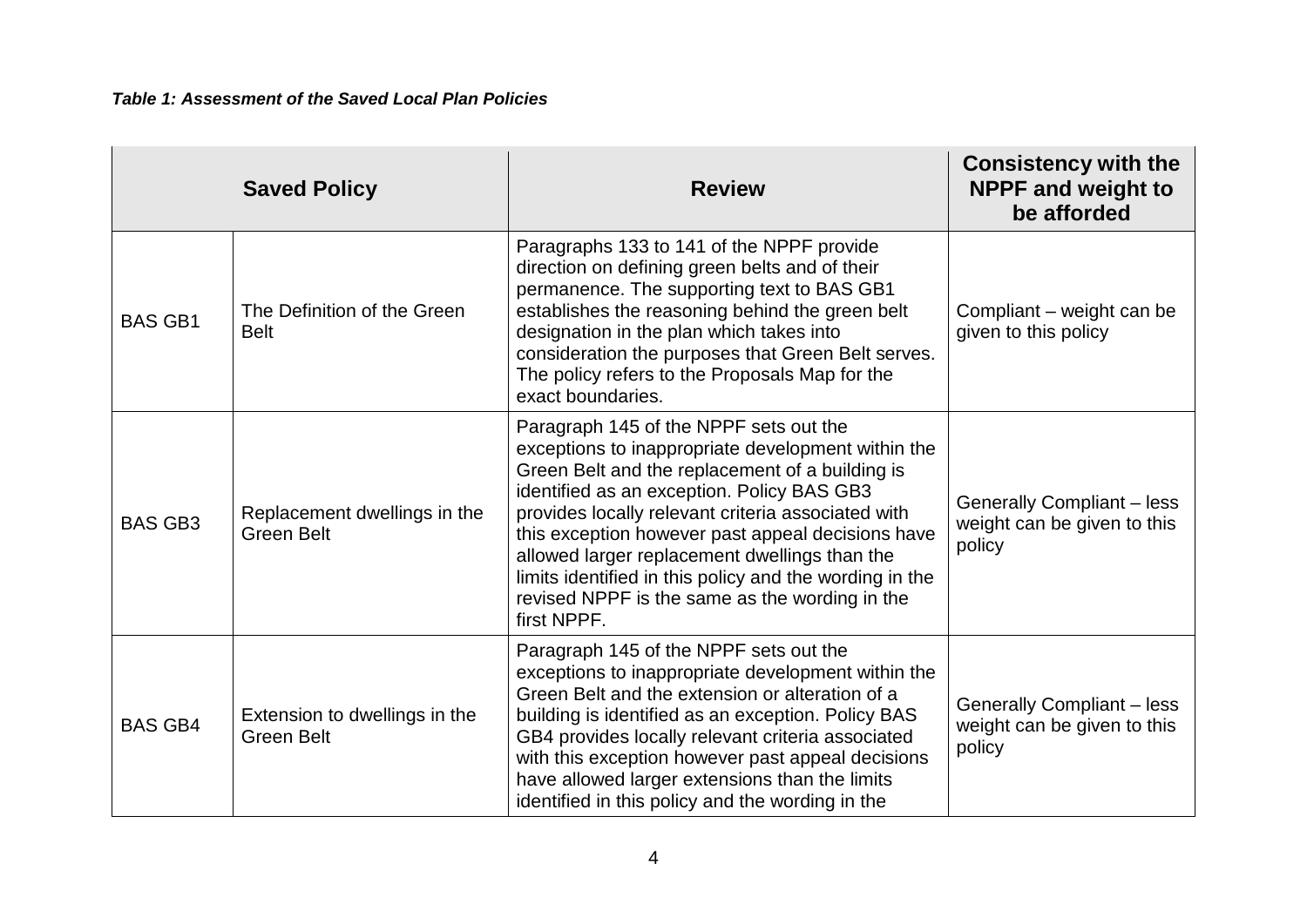<span id="page-6-0"></span>

|                | <b>Saved Policy</b>                                | <b>Review</b>                                                                                                                                                                                                                                                                                                                                                                                                                                                                         | <b>Consistency with the</b><br><b>NPPF and weight to</b><br>be afforded    |
|----------------|----------------------------------------------------|---------------------------------------------------------------------------------------------------------------------------------------------------------------------------------------------------------------------------------------------------------------------------------------------------------------------------------------------------------------------------------------------------------------------------------------------------------------------------------------|----------------------------------------------------------------------------|
| <b>BAS GB1</b> | The Definition of the Green<br><b>Belt</b>         | Paragraphs 133 to 141 of the NPPF provide<br>direction on defining green belts and of their<br>permanence. The supporting text to BAS GB1<br>establishes the reasoning behind the green belt<br>designation in the plan which takes into<br>consideration the purposes that Green Belt serves.<br>The policy refers to the Proposals Map for the<br>exact boundaries.                                                                                                                 | Compliant – weight can be<br>given to this policy                          |
| <b>BAS GB3</b> | Replacement dwellings in the<br><b>Green Belt</b>  | Paragraph 145 of the NPPF sets out the<br>exceptions to inappropriate development within the<br>Green Belt and the replacement of a building is<br>identified as an exception. Policy BAS GB3<br>provides locally relevant criteria associated with<br>this exception however past appeal decisions have<br>allowed larger replacement dwellings than the<br>limits identified in this policy and the wording in the<br>revised NPPF is the same as the wording in the<br>first NPPF. | <b>Generally Compliant - less</b><br>weight can be given to this<br>policy |
| <b>BAS GB4</b> | Extension to dwellings in the<br><b>Green Belt</b> | Paragraph 145 of the NPPF sets out the<br>exceptions to inappropriate development within the<br>Green Belt and the extension or alteration of a<br>building is identified as an exception. Policy BAS<br>GB4 provides locally relevant criteria associated<br>with this exception however past appeal decisions<br>have allowed larger extensions than the limits<br>identified in this policy and the wording in the                                                                 | <b>Generally Compliant - less</b><br>weight can be given to this<br>policy |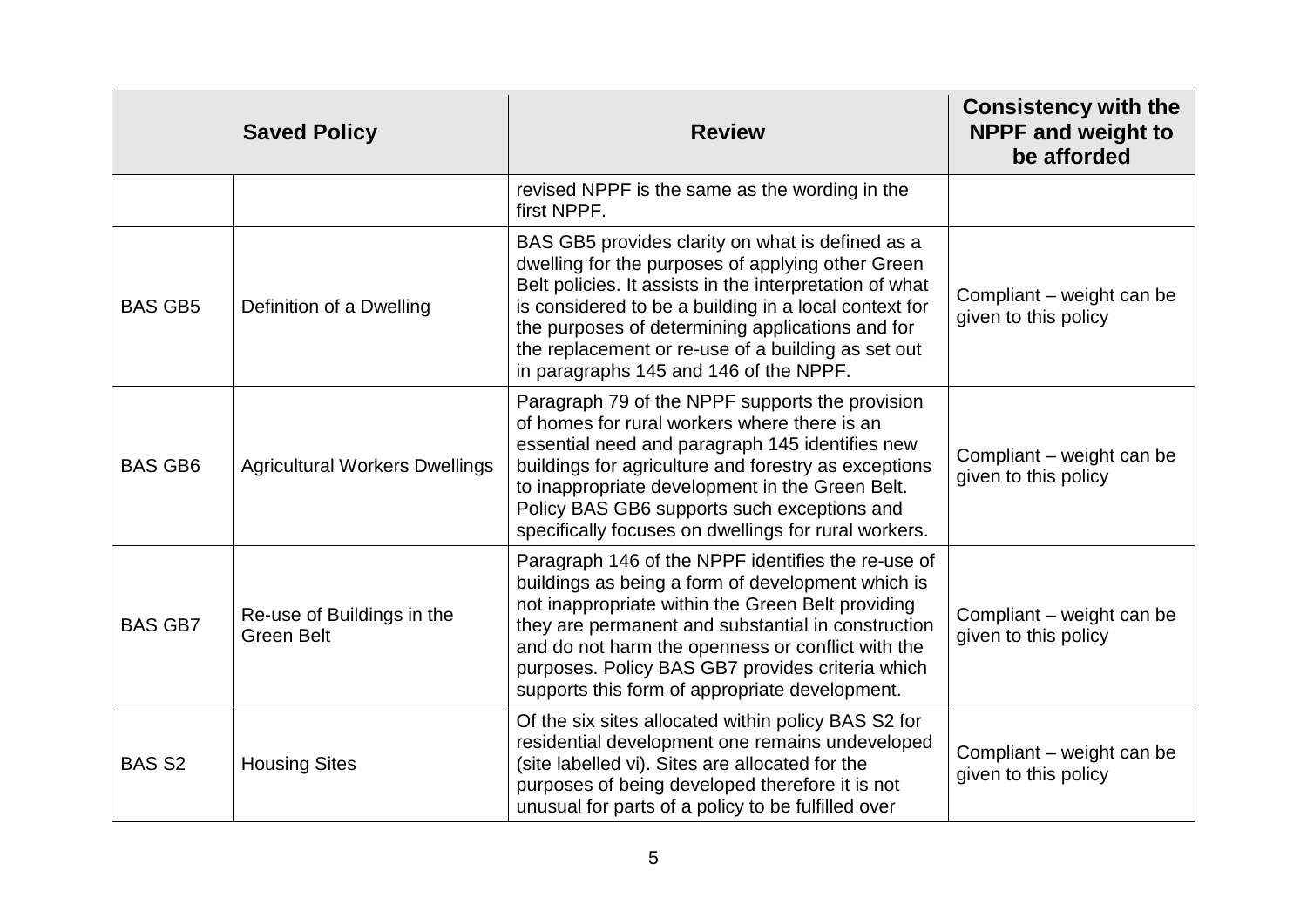|                | <b>Saved Policy</b>                             | <b>Review</b>                                                                                                                                                                                                                                                                                                                                                                 | <b>Consistency with the</b><br><b>NPPF and weight to</b><br>be afforded |
|----------------|-------------------------------------------------|-------------------------------------------------------------------------------------------------------------------------------------------------------------------------------------------------------------------------------------------------------------------------------------------------------------------------------------------------------------------------------|-------------------------------------------------------------------------|
|                |                                                 | revised NPPF is the same as the wording in the<br>first NPPF.                                                                                                                                                                                                                                                                                                                 |                                                                         |
| <b>BAS GB5</b> | Definition of a Dwelling                        | BAS GB5 provides clarity on what is defined as a<br>dwelling for the purposes of applying other Green<br>Belt policies. It assists in the interpretation of what<br>is considered to be a building in a local context for<br>the purposes of determining applications and for<br>the replacement or re-use of a building as set out<br>in paragraphs 145 and 146 of the NPPF. | Compliant – weight can be<br>given to this policy                       |
| <b>BAS GB6</b> | <b>Agricultural Workers Dwellings</b>           | Paragraph 79 of the NPPF supports the provision<br>of homes for rural workers where there is an<br>essential need and paragraph 145 identifies new<br>buildings for agriculture and forestry as exceptions<br>to inappropriate development in the Green Belt.<br>Policy BAS GB6 supports such exceptions and<br>specifically focuses on dwellings for rural workers.          | Compliant – weight can be<br>given to this policy                       |
| <b>BAS GB7</b> | Re-use of Buildings in the<br><b>Green Belt</b> | Paragraph 146 of the NPPF identifies the re-use of<br>buildings as being a form of development which is<br>not inappropriate within the Green Belt providing<br>they are permanent and substantial in construction<br>and do not harm the openness or conflict with the<br>purposes. Policy BAS GB7 provides criteria which<br>supports this form of appropriate development. | Compliant – weight can be<br>given to this policy                       |
| <b>BAS S2</b>  | <b>Housing Sites</b>                            | Of the six sites allocated within policy BAS S2 for<br>residential development one remains undeveloped<br>(site labelled vi). Sites are allocated for the<br>purposes of being developed therefore it is not<br>unusual for parts of a policy to be fulfilled over                                                                                                            | Compliant – weight can be<br>given to this policy                       |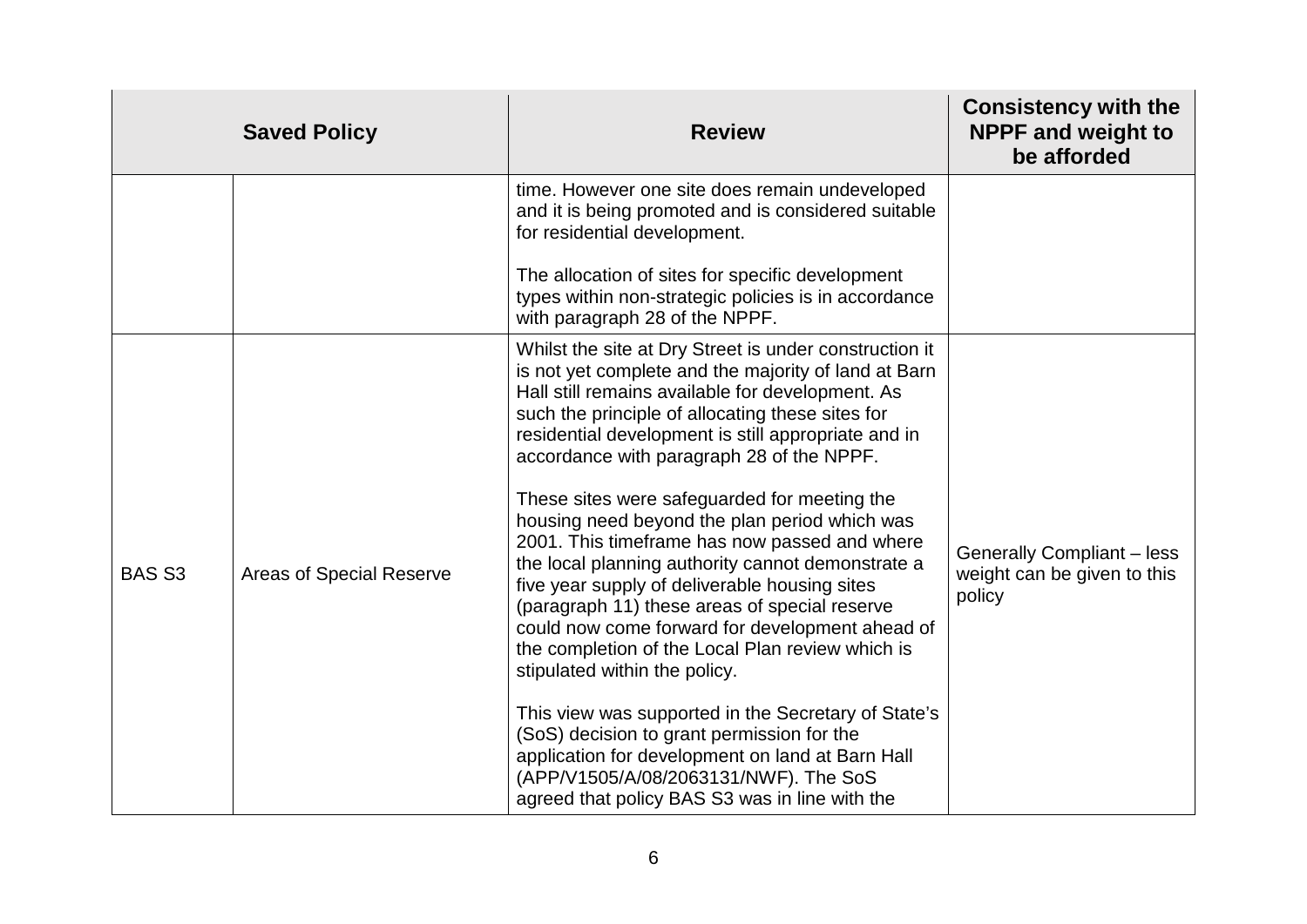| time. However one site does remain undeveloped<br>and it is being promoted and is considered suitable<br>for residential development.                                                                                                                                                                                                                                                                                                                                                                                                                                                                                                                                                                                                                                                                                                                                            |                                                                                                                                             |
|----------------------------------------------------------------------------------------------------------------------------------------------------------------------------------------------------------------------------------------------------------------------------------------------------------------------------------------------------------------------------------------------------------------------------------------------------------------------------------------------------------------------------------------------------------------------------------------------------------------------------------------------------------------------------------------------------------------------------------------------------------------------------------------------------------------------------------------------------------------------------------|---------------------------------------------------------------------------------------------------------------------------------------------|
|                                                                                                                                                                                                                                                                                                                                                                                                                                                                                                                                                                                                                                                                                                                                                                                                                                                                                  |                                                                                                                                             |
| The allocation of sites for specific development<br>types within non-strategic policies is in accordance<br>with paragraph 28 of the NPPF.                                                                                                                                                                                                                                                                                                                                                                                                                                                                                                                                                                                                                                                                                                                                       |                                                                                                                                             |
| Whilst the site at Dry Street is under construction it<br>is not yet complete and the majority of land at Barn<br>Hall still remains available for development. As<br>such the principle of allocating these sites for<br>residential development is still appropriate and in<br>accordance with paragraph 28 of the NPPF.<br>These sites were safeguarded for meeting the<br>housing need beyond the plan period which was<br>2001. This timeframe has now passed and where<br>the local planning authority cannot demonstrate a<br>five year supply of deliverable housing sites<br>(paragraph 11) these areas of special reserve<br>could now come forward for development ahead of<br>the completion of the Local Plan review which is<br>stipulated within the policy.<br>This view was supported in the Secretary of State's<br>(SoS) decision to grant permission for the | <b>Generally Compliant - less</b><br>weight can be given to this<br>policy                                                                  |
|                                                                                                                                                                                                                                                                                                                                                                                                                                                                                                                                                                                                                                                                                                                                                                                                                                                                                  | application for development on land at Barn Hall<br>(APP/V1505/A/08/2063131/NWF). The SoS<br>agreed that policy BAS S3 was in line with the |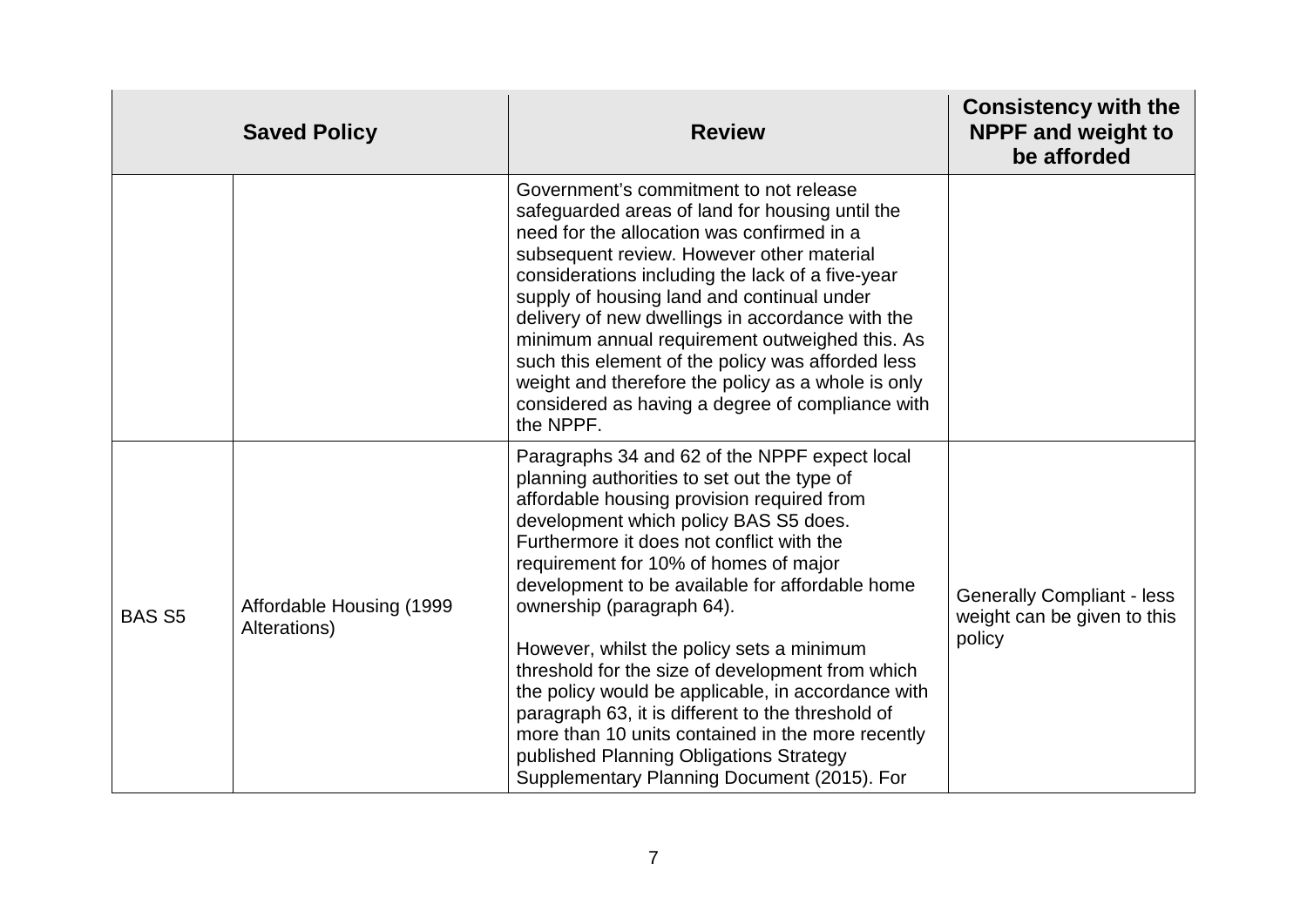|               | <b>Saved Policy</b>                      | <b>Review</b>                                                                                                                                                                                                                                                                                                                                                                                                                                                                                                                                                                                                                                                                                                        | <b>Consistency with the</b><br><b>NPPF and weight to</b><br>be afforded    |
|---------------|------------------------------------------|----------------------------------------------------------------------------------------------------------------------------------------------------------------------------------------------------------------------------------------------------------------------------------------------------------------------------------------------------------------------------------------------------------------------------------------------------------------------------------------------------------------------------------------------------------------------------------------------------------------------------------------------------------------------------------------------------------------------|----------------------------------------------------------------------------|
|               |                                          | Government's commitment to not release<br>safeguarded areas of land for housing until the<br>need for the allocation was confirmed in a<br>subsequent review. However other material<br>considerations including the lack of a five-year<br>supply of housing land and continual under<br>delivery of new dwellings in accordance with the<br>minimum annual requirement outweighed this. As<br>such this element of the policy was afforded less<br>weight and therefore the policy as a whole is only<br>considered as having a degree of compliance with<br>the NPPF.                                                                                                                                             |                                                                            |
| <b>BAS S5</b> | Affordable Housing (1999<br>Alterations) | Paragraphs 34 and 62 of the NPPF expect local<br>planning authorities to set out the type of<br>affordable housing provision required from<br>development which policy BAS S5 does.<br>Furthermore it does not conflict with the<br>requirement for 10% of homes of major<br>development to be available for affordable home<br>ownership (paragraph 64).<br>However, whilst the policy sets a minimum<br>threshold for the size of development from which<br>the policy would be applicable, in accordance with<br>paragraph 63, it is different to the threshold of<br>more than 10 units contained in the more recently<br>published Planning Obligations Strategy<br>Supplementary Planning Document (2015). For | <b>Generally Compliant - less</b><br>weight can be given to this<br>policy |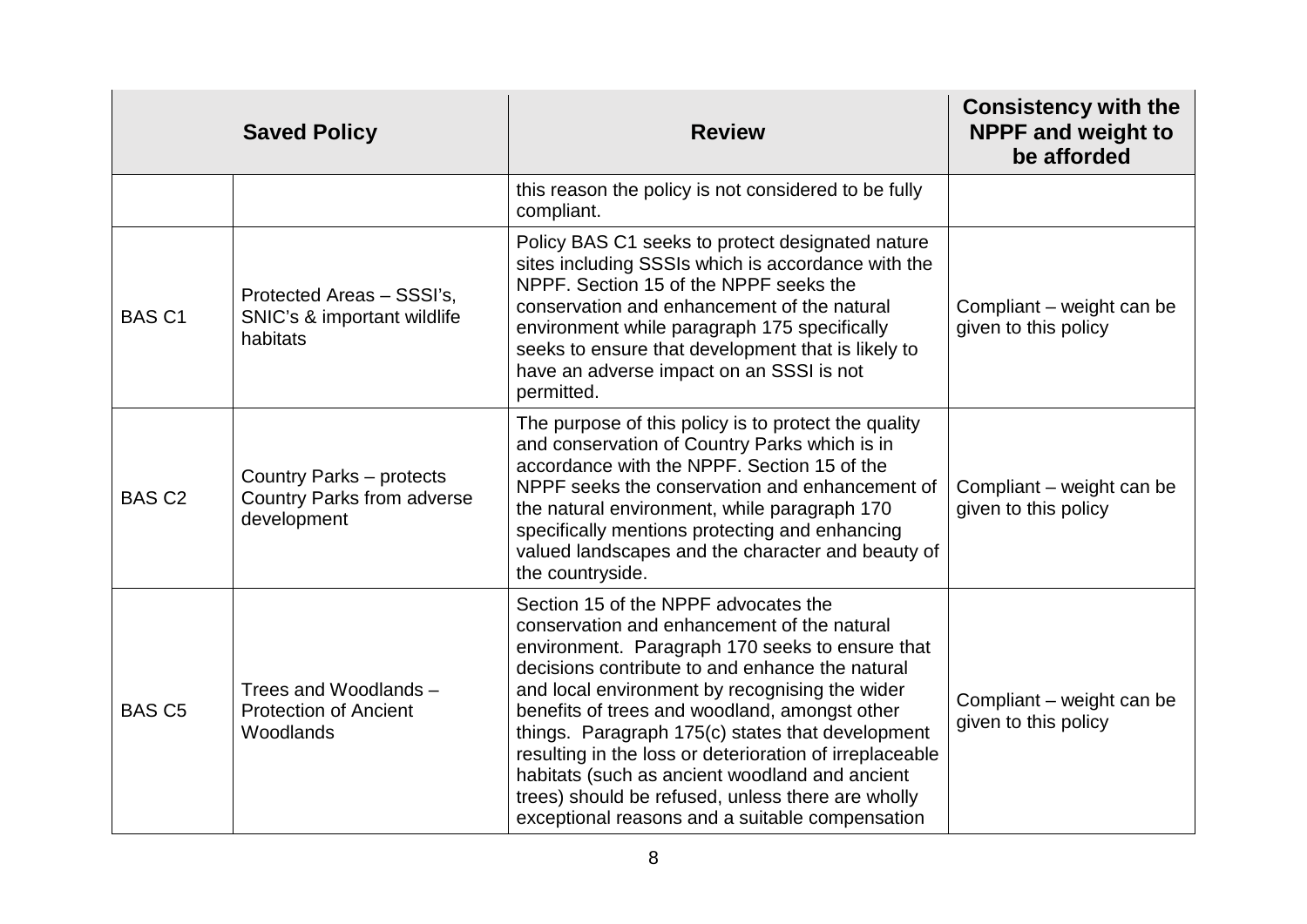|               | <b>Saved Policy</b>                                                          | <b>Review</b>                                                                                                                                                                                                                                                                                                                                                                                                                                                                                                                                                         | <b>Consistency with the</b><br><b>NPPF and weight to</b><br>be afforded |
|---------------|------------------------------------------------------------------------------|-----------------------------------------------------------------------------------------------------------------------------------------------------------------------------------------------------------------------------------------------------------------------------------------------------------------------------------------------------------------------------------------------------------------------------------------------------------------------------------------------------------------------------------------------------------------------|-------------------------------------------------------------------------|
|               |                                                                              | this reason the policy is not considered to be fully<br>compliant.                                                                                                                                                                                                                                                                                                                                                                                                                                                                                                    |                                                                         |
| <b>BAS C1</b> | Protected Areas - SSSI's,<br>SNIC's & important wildlife<br>habitats         | Policy BAS C1 seeks to protect designated nature<br>sites including SSSIs which is accordance with the<br>NPPF. Section 15 of the NPPF seeks the<br>conservation and enhancement of the natural<br>environment while paragraph 175 specifically<br>seeks to ensure that development that is likely to<br>have an adverse impact on an SSSI is not<br>permitted.                                                                                                                                                                                                       | Compliant - weight can be<br>given to this policy                       |
| <b>BAS C2</b> | Country Parks - protects<br><b>Country Parks from adverse</b><br>development | The purpose of this policy is to protect the quality<br>and conservation of Country Parks which is in<br>accordance with the NPPF. Section 15 of the<br>NPPF seeks the conservation and enhancement of<br>the natural environment, while paragraph 170<br>specifically mentions protecting and enhancing<br>valued landscapes and the character and beauty of<br>the countryside.                                                                                                                                                                                     | Compliant - weight can be<br>given to this policy                       |
| <b>BAS C5</b> | Trees and Woodlands -<br><b>Protection of Ancient</b><br>Woodlands           | Section 15 of the NPPF advocates the<br>conservation and enhancement of the natural<br>environment. Paragraph 170 seeks to ensure that<br>decisions contribute to and enhance the natural<br>and local environment by recognising the wider<br>benefits of trees and woodland, amongst other<br>things. Paragraph 175(c) states that development<br>resulting in the loss or deterioration of irreplaceable<br>habitats (such as ancient woodland and ancient<br>trees) should be refused, unless there are wholly<br>exceptional reasons and a suitable compensation | Compliant – weight can be<br>given to this policy                       |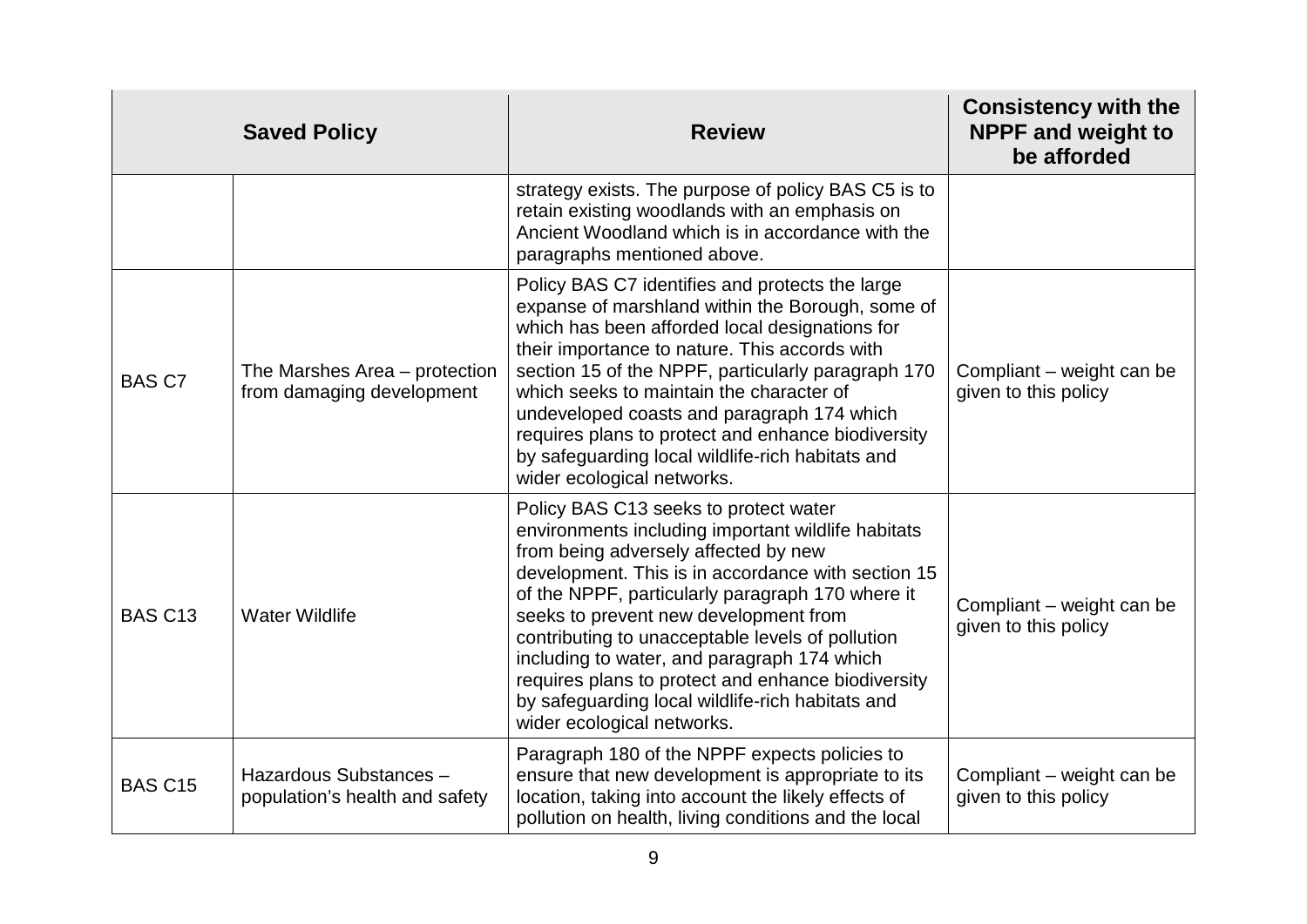|                | <b>Saved Policy</b>                                        | <b>Review</b>                                                                                                                                                                                                                                                                                                                                                                                                                                                                                                                     | <b>Consistency with the</b><br><b>NPPF and weight to</b><br>be afforded |
|----------------|------------------------------------------------------------|-----------------------------------------------------------------------------------------------------------------------------------------------------------------------------------------------------------------------------------------------------------------------------------------------------------------------------------------------------------------------------------------------------------------------------------------------------------------------------------------------------------------------------------|-------------------------------------------------------------------------|
|                |                                                            | strategy exists. The purpose of policy BAS C5 is to<br>retain existing woodlands with an emphasis on<br>Ancient Woodland which is in accordance with the<br>paragraphs mentioned above.                                                                                                                                                                                                                                                                                                                                           |                                                                         |
| <b>BAS C7</b>  | The Marshes Area – protection<br>from damaging development | Policy BAS C7 identifies and protects the large<br>expanse of marshland within the Borough, some of<br>which has been afforded local designations for<br>their importance to nature. This accords with<br>section 15 of the NPPF, particularly paragraph 170<br>which seeks to maintain the character of<br>undeveloped coasts and paragraph 174 which<br>requires plans to protect and enhance biodiversity<br>by safeguarding local wildlife-rich habitats and<br>wider ecological networks.                                    | Compliant - weight can be<br>given to this policy                       |
| <b>BAS C13</b> | <b>Water Wildlife</b>                                      | Policy BAS C13 seeks to protect water<br>environments including important wildlife habitats<br>from being adversely affected by new<br>development. This is in accordance with section 15<br>of the NPPF, particularly paragraph 170 where it<br>seeks to prevent new development from<br>contributing to unacceptable levels of pollution<br>including to water, and paragraph 174 which<br>requires plans to protect and enhance biodiversity<br>by safeguarding local wildlife-rich habitats and<br>wider ecological networks. | Compliant – weight can be<br>given to this policy                       |
| <b>BAS C15</b> | Hazardous Substances -<br>population's health and safety   | Paragraph 180 of the NPPF expects policies to<br>ensure that new development is appropriate to its<br>location, taking into account the likely effects of<br>pollution on health, living conditions and the local                                                                                                                                                                                                                                                                                                                 | Compliant – weight can be<br>given to this policy                       |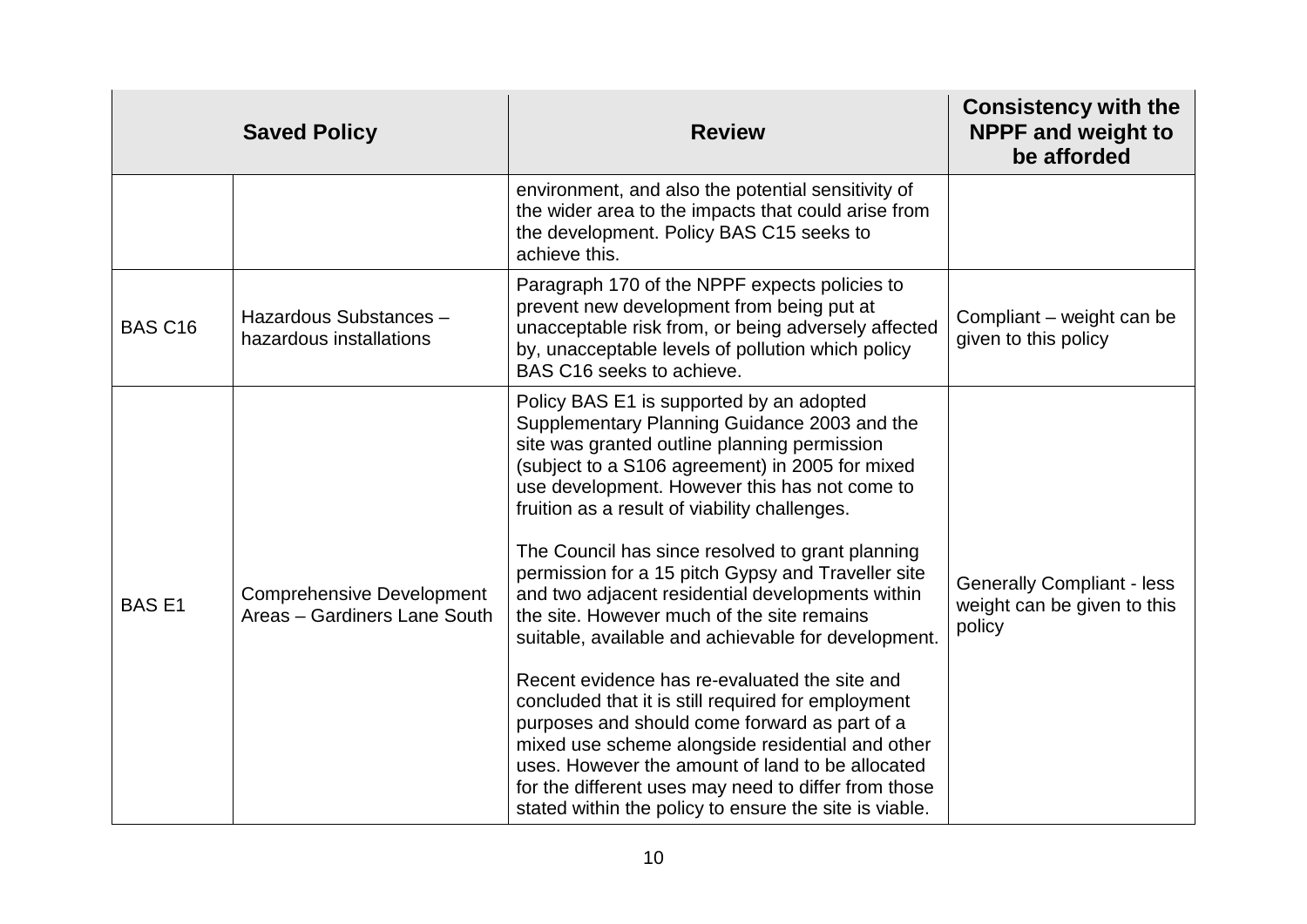|                | <b>Saved Policy</b>                                              | <b>Review</b>                                                                                                                                                                                                                                                                                                                                                                  | <b>Consistency with the</b><br><b>NPPF and weight to</b><br>be afforded    |
|----------------|------------------------------------------------------------------|--------------------------------------------------------------------------------------------------------------------------------------------------------------------------------------------------------------------------------------------------------------------------------------------------------------------------------------------------------------------------------|----------------------------------------------------------------------------|
|                |                                                                  | environment, and also the potential sensitivity of<br>the wider area to the impacts that could arise from<br>the development. Policy BAS C15 seeks to<br>achieve this.                                                                                                                                                                                                         |                                                                            |
| <b>BAS C16</b> | Hazardous Substances -<br>hazardous installations                | Paragraph 170 of the NPPF expects policies to<br>prevent new development from being put at<br>unacceptable risk from, or being adversely affected<br>by, unacceptable levels of pollution which policy<br>BAS C16 seeks to achieve.                                                                                                                                            | Compliant – weight can be<br>given to this policy                          |
|                |                                                                  | Policy BAS E1 is supported by an adopted<br>Supplementary Planning Guidance 2003 and the<br>site was granted outline planning permission<br>(subject to a S106 agreement) in 2005 for mixed<br>use development. However this has not come to<br>fruition as a result of viability challenges.                                                                                  |                                                                            |
| <b>BASE1</b>   | <b>Comprehensive Development</b><br>Areas - Gardiners Lane South | The Council has since resolved to grant planning<br>permission for a 15 pitch Gypsy and Traveller site<br>and two adjacent residential developments within<br>the site. However much of the site remains<br>suitable, available and achievable for development.                                                                                                                | <b>Generally Compliant - less</b><br>weight can be given to this<br>policy |
|                |                                                                  | Recent evidence has re-evaluated the site and<br>concluded that it is still required for employment<br>purposes and should come forward as part of a<br>mixed use scheme alongside residential and other<br>uses. However the amount of land to be allocated<br>for the different uses may need to differ from those<br>stated within the policy to ensure the site is viable. |                                                                            |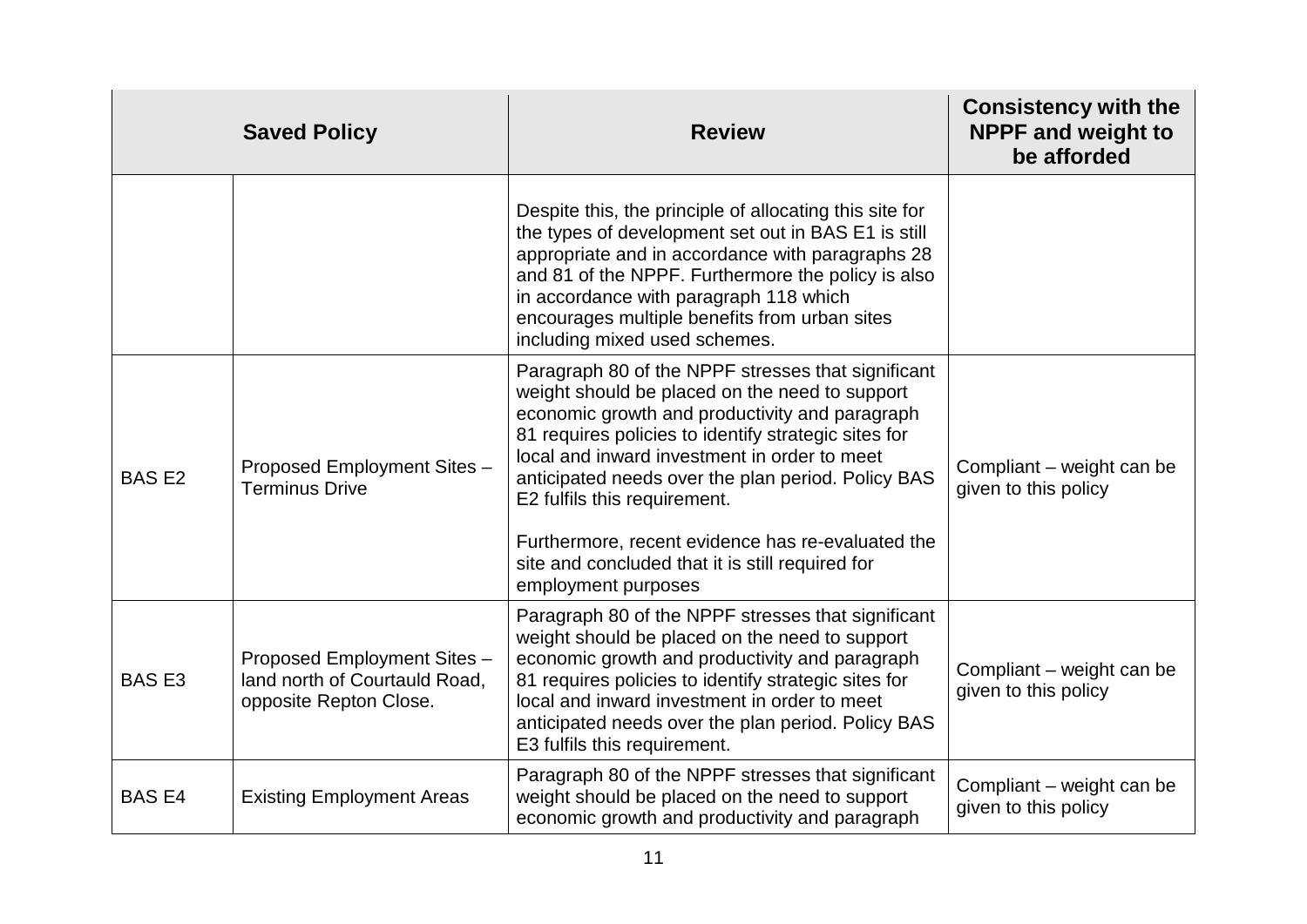|              | <b>Saved Policy</b>                                                                    | <b>Review</b>                                                                                                                                                                                                                                                                                                                                                                                                                                                                        | <b>Consistency with the</b><br><b>NPPF and weight to</b><br>be afforded |
|--------------|----------------------------------------------------------------------------------------|--------------------------------------------------------------------------------------------------------------------------------------------------------------------------------------------------------------------------------------------------------------------------------------------------------------------------------------------------------------------------------------------------------------------------------------------------------------------------------------|-------------------------------------------------------------------------|
|              |                                                                                        | Despite this, the principle of allocating this site for<br>the types of development set out in BAS E1 is still<br>appropriate and in accordance with paragraphs 28<br>and 81 of the NPPF. Furthermore the policy is also<br>in accordance with paragraph 118 which<br>encourages multiple benefits from urban sites<br>including mixed used schemes.                                                                                                                                 |                                                                         |
| <b>BASE2</b> | Proposed Employment Sites -<br><b>Terminus Drive</b>                                   | Paragraph 80 of the NPPF stresses that significant<br>weight should be placed on the need to support<br>economic growth and productivity and paragraph<br>81 requires policies to identify strategic sites for<br>local and inward investment in order to meet<br>anticipated needs over the plan period. Policy BAS<br>E2 fulfils this requirement.<br>Furthermore, recent evidence has re-evaluated the<br>site and concluded that it is still required for<br>employment purposes | Compliant – weight can be<br>given to this policy                       |
| <b>BASE3</b> | Proposed Employment Sites -<br>land north of Courtauld Road,<br>opposite Repton Close. | Paragraph 80 of the NPPF stresses that significant<br>weight should be placed on the need to support<br>economic growth and productivity and paragraph<br>81 requires policies to identify strategic sites for<br>local and inward investment in order to meet<br>anticipated needs over the plan period. Policy BAS<br>E3 fulfils this requirement.                                                                                                                                 | Compliant – weight can be<br>given to this policy                       |
| <b>BASE4</b> | <b>Existing Employment Areas</b>                                                       | Paragraph 80 of the NPPF stresses that significant<br>weight should be placed on the need to support<br>economic growth and productivity and paragraph                                                                                                                                                                                                                                                                                                                               | Compliant - weight can be<br>given to this policy                       |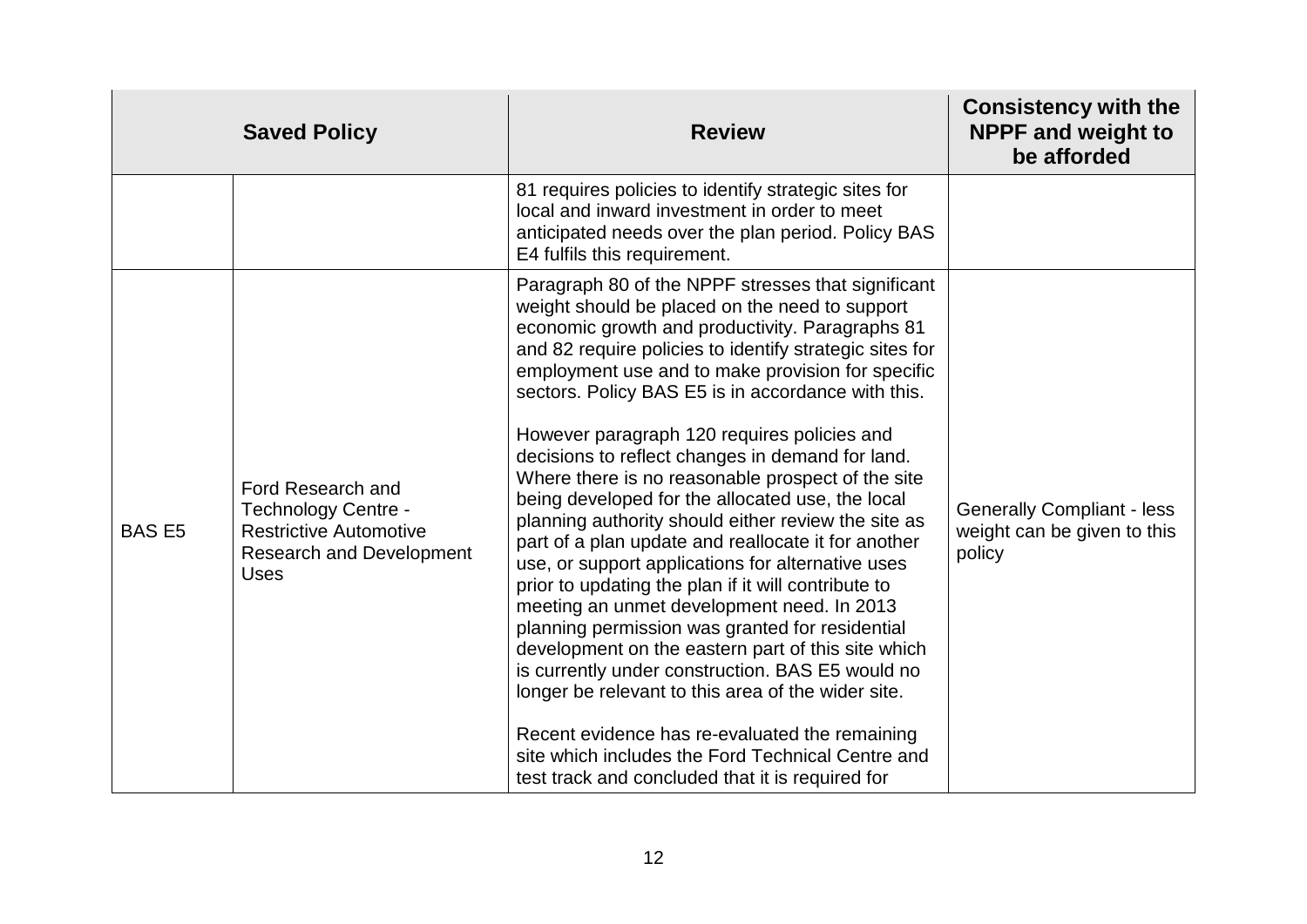|              | <b>Saved Policy</b>                                                                                                         | <b>Review</b>                                                                                                                                                                                                                                                                                                                                                                                                                                                                                                                                                                                                                                                                                                                                                                                                                                                                                                                                                                                                                                                                                                                                                                                   | <b>Consistency with the</b><br><b>NPPF and weight to</b><br>be afforded    |
|--------------|-----------------------------------------------------------------------------------------------------------------------------|-------------------------------------------------------------------------------------------------------------------------------------------------------------------------------------------------------------------------------------------------------------------------------------------------------------------------------------------------------------------------------------------------------------------------------------------------------------------------------------------------------------------------------------------------------------------------------------------------------------------------------------------------------------------------------------------------------------------------------------------------------------------------------------------------------------------------------------------------------------------------------------------------------------------------------------------------------------------------------------------------------------------------------------------------------------------------------------------------------------------------------------------------------------------------------------------------|----------------------------------------------------------------------------|
|              |                                                                                                                             | 81 requires policies to identify strategic sites for<br>local and inward investment in order to meet<br>anticipated needs over the plan period. Policy BAS<br>E4 fulfils this requirement.                                                                                                                                                                                                                                                                                                                                                                                                                                                                                                                                                                                                                                                                                                                                                                                                                                                                                                                                                                                                      |                                                                            |
| <b>BASE5</b> | Ford Research and<br>Technology Centre -<br><b>Restrictive Automotive</b><br><b>Research and Development</b><br><b>Uses</b> | Paragraph 80 of the NPPF stresses that significant<br>weight should be placed on the need to support<br>economic growth and productivity. Paragraphs 81<br>and 82 require policies to identify strategic sites for<br>employment use and to make provision for specific<br>sectors. Policy BAS E5 is in accordance with this.<br>However paragraph 120 requires policies and<br>decisions to reflect changes in demand for land.<br>Where there is no reasonable prospect of the site<br>being developed for the allocated use, the local<br>planning authority should either review the site as<br>part of a plan update and reallocate it for another<br>use, or support applications for alternative uses<br>prior to updating the plan if it will contribute to<br>meeting an unmet development need. In 2013<br>planning permission was granted for residential<br>development on the eastern part of this site which<br>is currently under construction. BAS E5 would no<br>longer be relevant to this area of the wider site.<br>Recent evidence has re-evaluated the remaining<br>site which includes the Ford Technical Centre and<br>test track and concluded that it is required for | <b>Generally Compliant - less</b><br>weight can be given to this<br>policy |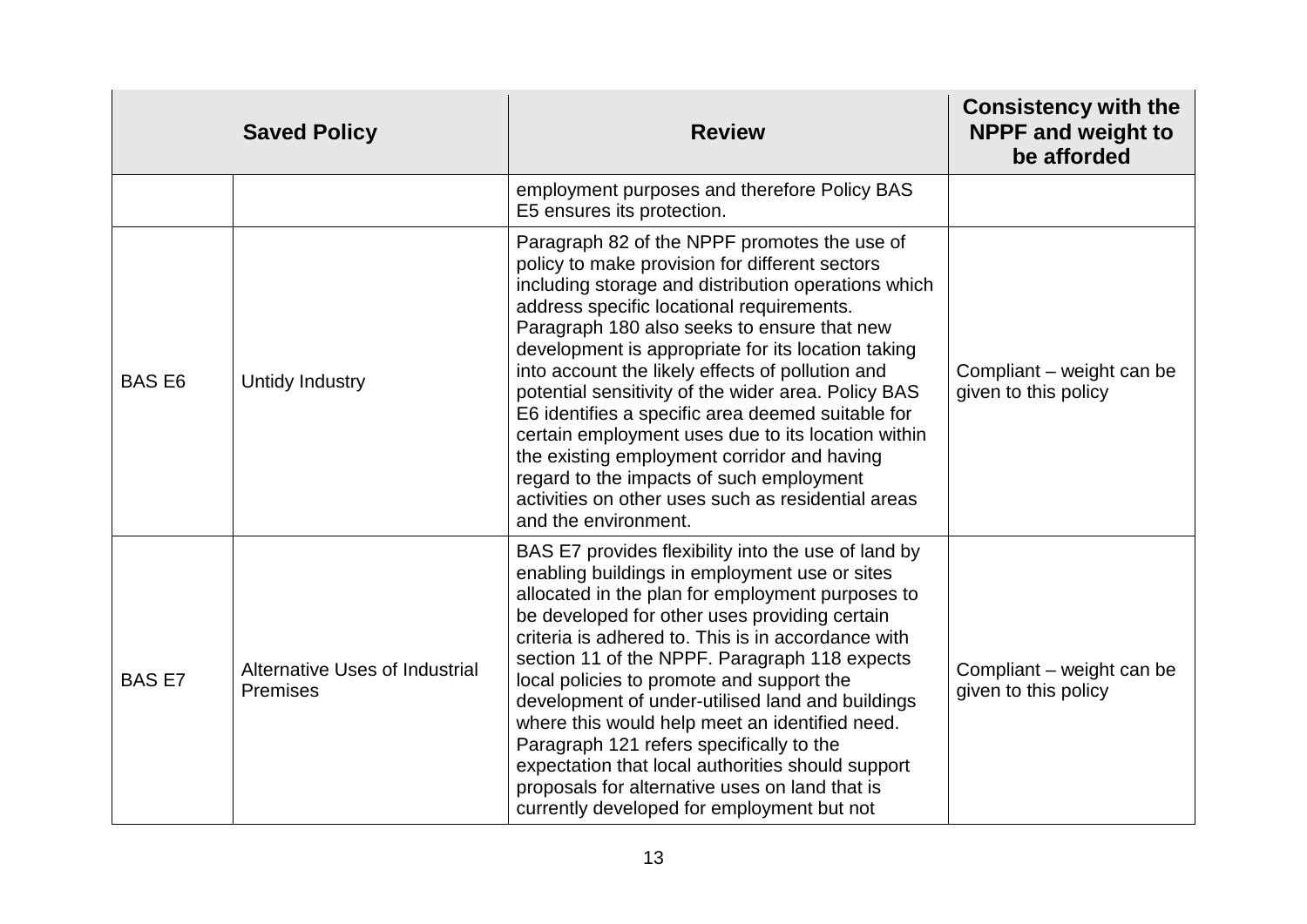|               | <b>Saved Policy</b>                               | <b>Review</b>                                                                                                                                                                                                                                                                                                                                                                                                                                                                                                                                                                                                                                                                                          | <b>Consistency with the</b><br><b>NPPF and weight to</b><br>be afforded |
|---------------|---------------------------------------------------|--------------------------------------------------------------------------------------------------------------------------------------------------------------------------------------------------------------------------------------------------------------------------------------------------------------------------------------------------------------------------------------------------------------------------------------------------------------------------------------------------------------------------------------------------------------------------------------------------------------------------------------------------------------------------------------------------------|-------------------------------------------------------------------------|
|               |                                                   | employment purposes and therefore Policy BAS<br>E5 ensures its protection.                                                                                                                                                                                                                                                                                                                                                                                                                                                                                                                                                                                                                             |                                                                         |
| <b>BASE6</b>  | Untidy Industry                                   | Paragraph 82 of the NPPF promotes the use of<br>policy to make provision for different sectors<br>including storage and distribution operations which<br>address specific locational requirements.<br>Paragraph 180 also seeks to ensure that new<br>development is appropriate for its location taking<br>into account the likely effects of pollution and<br>potential sensitivity of the wider area. Policy BAS<br>E6 identifies a specific area deemed suitable for<br>certain employment uses due to its location within<br>the existing employment corridor and having<br>regard to the impacts of such employment<br>activities on other uses such as residential areas<br>and the environment. | Compliant – weight can be<br>given to this policy                       |
| <b>BAS E7</b> | Alternative Uses of Industrial<br><b>Premises</b> | BAS E7 provides flexibility into the use of land by<br>enabling buildings in employment use or sites<br>allocated in the plan for employment purposes to<br>be developed for other uses providing certain<br>criteria is adhered to. This is in accordance with<br>section 11 of the NPPF. Paragraph 118 expects<br>local policies to promote and support the<br>development of under-utilised land and buildings<br>where this would help meet an identified need.<br>Paragraph 121 refers specifically to the<br>expectation that local authorities should support<br>proposals for alternative uses on land that is<br>currently developed for employment but not                                   | Compliant – weight can be<br>given to this policy                       |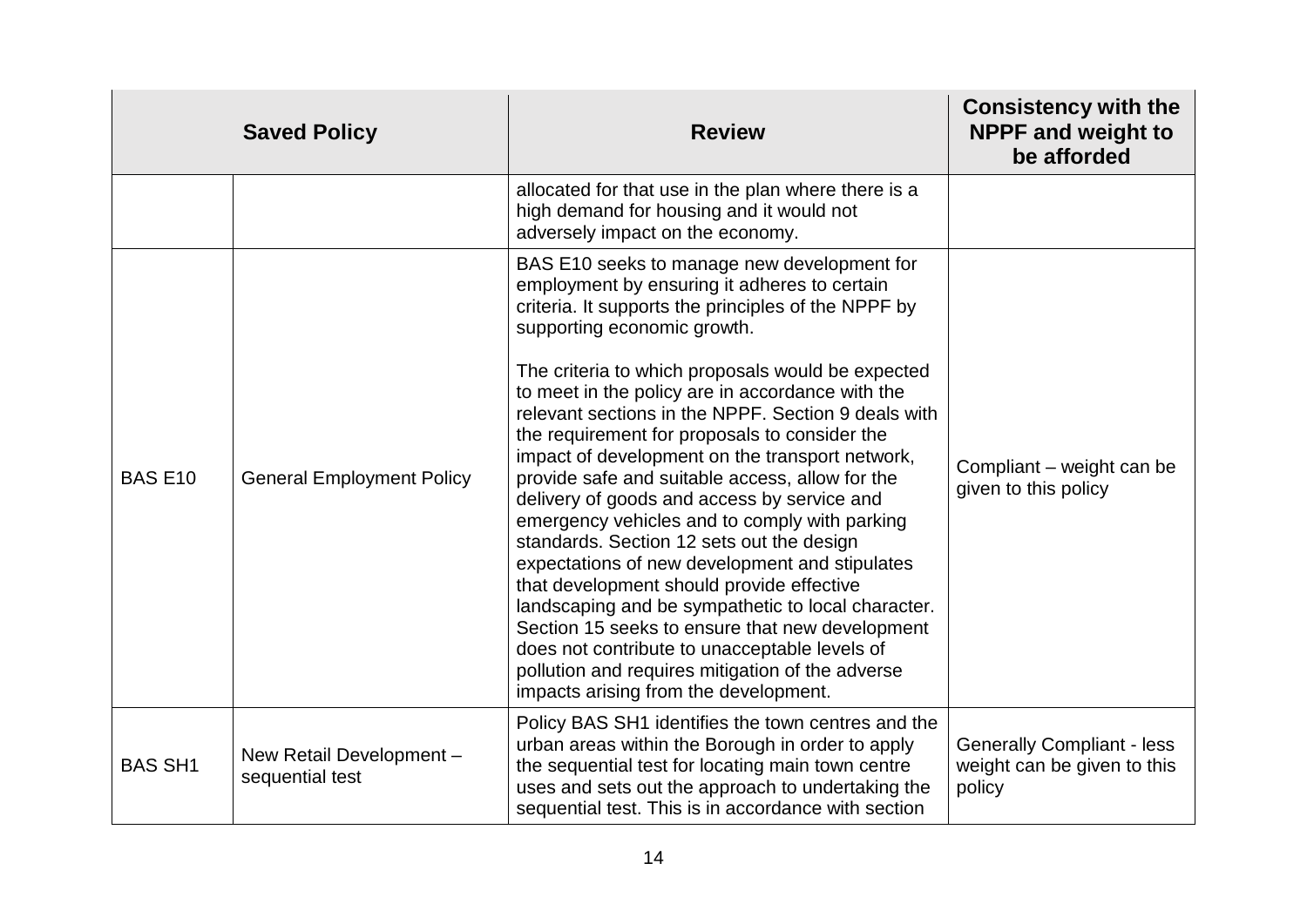|                | <b>Saved Policy</b>                         | <b>Review</b>                                                                                                                                                                                                                                                                                                                                                                                                                                                                                                                                                                                                                                                                                                                                                                                                                                                                                                                                                                                               | <b>Consistency with the</b><br><b>NPPF and weight to</b><br>be afforded    |
|----------------|---------------------------------------------|-------------------------------------------------------------------------------------------------------------------------------------------------------------------------------------------------------------------------------------------------------------------------------------------------------------------------------------------------------------------------------------------------------------------------------------------------------------------------------------------------------------------------------------------------------------------------------------------------------------------------------------------------------------------------------------------------------------------------------------------------------------------------------------------------------------------------------------------------------------------------------------------------------------------------------------------------------------------------------------------------------------|----------------------------------------------------------------------------|
|                |                                             | allocated for that use in the plan where there is a<br>high demand for housing and it would not<br>adversely impact on the economy.                                                                                                                                                                                                                                                                                                                                                                                                                                                                                                                                                                                                                                                                                                                                                                                                                                                                         |                                                                            |
| <b>BAS E10</b> | <b>General Employment Policy</b>            | BAS E10 seeks to manage new development for<br>employment by ensuring it adheres to certain<br>criteria. It supports the principles of the NPPF by<br>supporting economic growth.<br>The criteria to which proposals would be expected<br>to meet in the policy are in accordance with the<br>relevant sections in the NPPF. Section 9 deals with<br>the requirement for proposals to consider the<br>impact of development on the transport network,<br>provide safe and suitable access, allow for the<br>delivery of goods and access by service and<br>emergency vehicles and to comply with parking<br>standards. Section 12 sets out the design<br>expectations of new development and stipulates<br>that development should provide effective<br>landscaping and be sympathetic to local character.<br>Section 15 seeks to ensure that new development<br>does not contribute to unacceptable levels of<br>pollution and requires mitigation of the adverse<br>impacts arising from the development. | Compliant - weight can be<br>given to this policy                          |
| <b>BAS SH1</b> | New Retail Development -<br>sequential test | Policy BAS SH1 identifies the town centres and the<br>urban areas within the Borough in order to apply<br>the sequential test for locating main town centre<br>uses and sets out the approach to undertaking the<br>sequential test. This is in accordance with section                                                                                                                                                                                                                                                                                                                                                                                                                                                                                                                                                                                                                                                                                                                                     | <b>Generally Compliant - less</b><br>weight can be given to this<br>policy |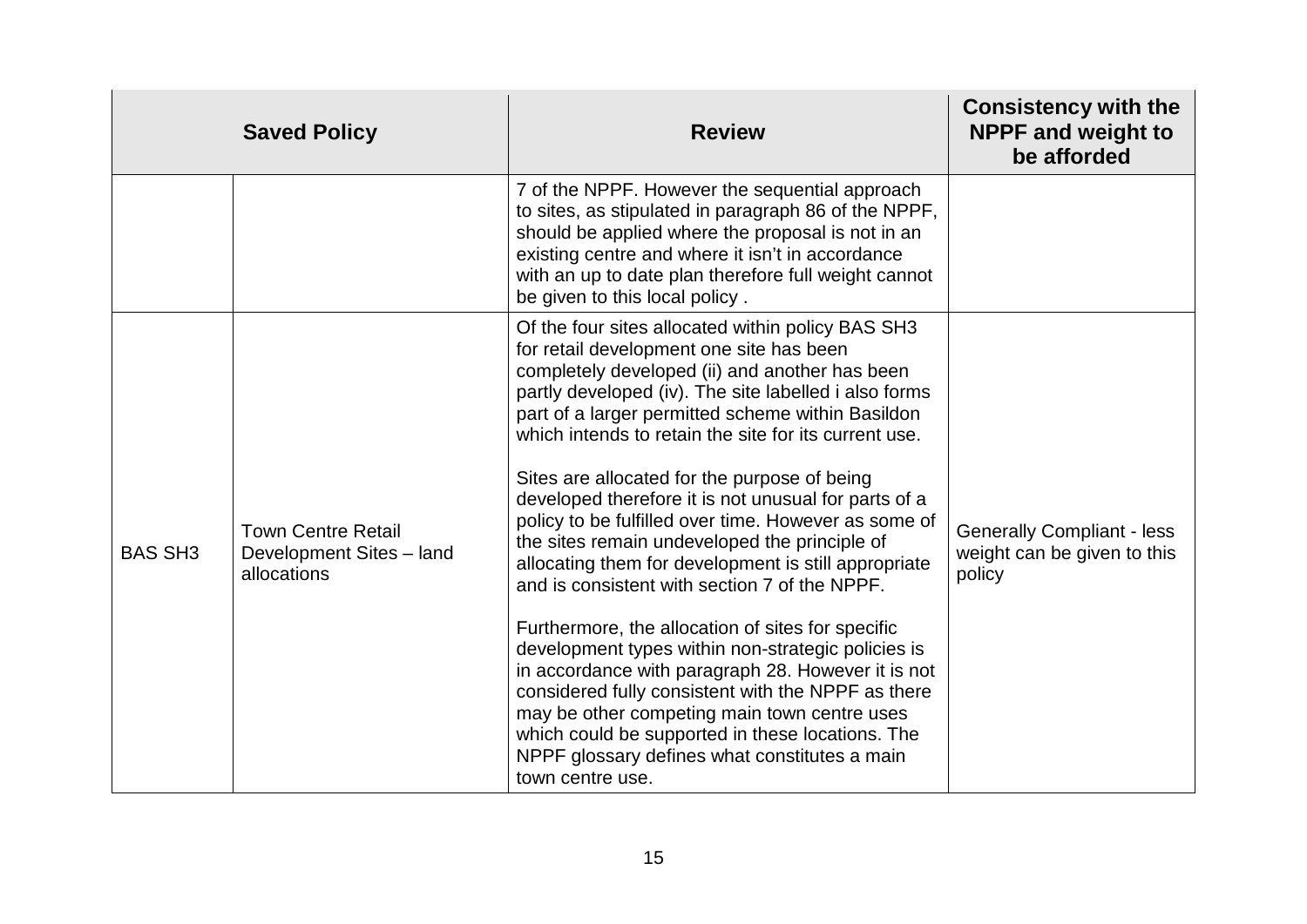|                | <b>Saved Policy</b>                                                  | <b>Review</b>                                                                                                                                                                                                                                                                                                                                                                                                                                                                                                                                                                                                                                                                                                                                                                                                                                                                                                                                                                                                                                    | <b>Consistency with the</b><br><b>NPPF and weight to</b><br>be afforded    |
|----------------|----------------------------------------------------------------------|--------------------------------------------------------------------------------------------------------------------------------------------------------------------------------------------------------------------------------------------------------------------------------------------------------------------------------------------------------------------------------------------------------------------------------------------------------------------------------------------------------------------------------------------------------------------------------------------------------------------------------------------------------------------------------------------------------------------------------------------------------------------------------------------------------------------------------------------------------------------------------------------------------------------------------------------------------------------------------------------------------------------------------------------------|----------------------------------------------------------------------------|
|                |                                                                      | 7 of the NPPF. However the sequential approach<br>to sites, as stipulated in paragraph 86 of the NPPF,<br>should be applied where the proposal is not in an<br>existing centre and where it isn't in accordance<br>with an up to date plan therefore full weight cannot<br>be given to this local policy.                                                                                                                                                                                                                                                                                                                                                                                                                                                                                                                                                                                                                                                                                                                                        |                                                                            |
| <b>BAS SH3</b> | <b>Town Centre Retail</b><br>Development Sites - land<br>allocations | Of the four sites allocated within policy BAS SH3<br>for retail development one site has been<br>completely developed (ii) and another has been<br>partly developed (iv). The site labelled i also forms<br>part of a larger permitted scheme within Basildon<br>which intends to retain the site for its current use.<br>Sites are allocated for the purpose of being<br>developed therefore it is not unusual for parts of a<br>policy to be fulfilled over time. However as some of<br>the sites remain undeveloped the principle of<br>allocating them for development is still appropriate<br>and is consistent with section 7 of the NPPF.<br>Furthermore, the allocation of sites for specific<br>development types within non-strategic policies is<br>in accordance with paragraph 28. However it is not<br>considered fully consistent with the NPPF as there<br>may be other competing main town centre uses<br>which could be supported in these locations. The<br>NPPF glossary defines what constitutes a main<br>town centre use. | <b>Generally Compliant - less</b><br>weight can be given to this<br>policy |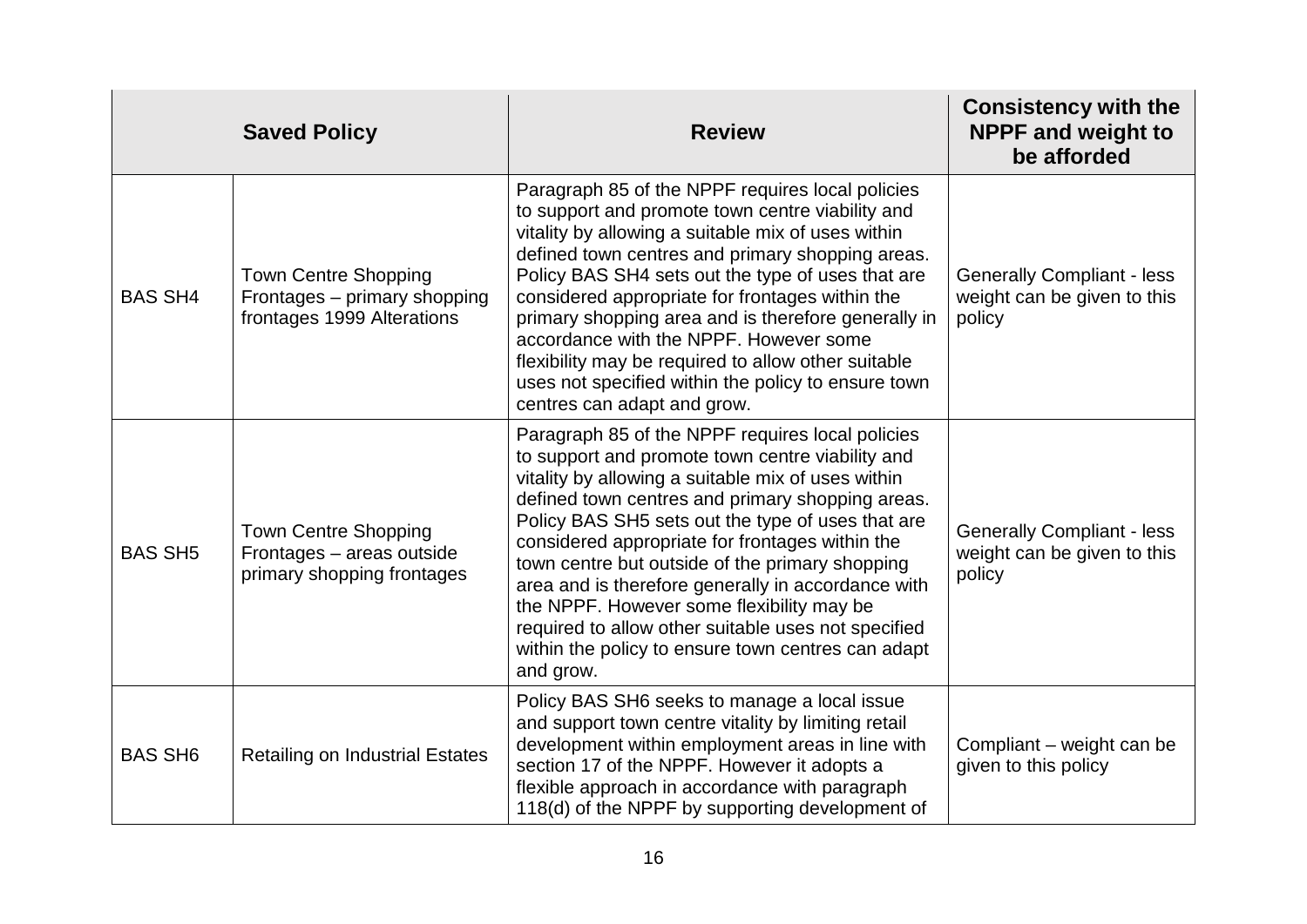|                | <b>Saved Policy</b>                                                                       | <b>Review</b>                                                                                                                                                                                                                                                                                                                                                                                                                                                                                                                                                                                          | <b>Consistency with the</b><br><b>NPPF and weight to</b><br>be afforded    |
|----------------|-------------------------------------------------------------------------------------------|--------------------------------------------------------------------------------------------------------------------------------------------------------------------------------------------------------------------------------------------------------------------------------------------------------------------------------------------------------------------------------------------------------------------------------------------------------------------------------------------------------------------------------------------------------------------------------------------------------|----------------------------------------------------------------------------|
| <b>BAS SH4</b> | <b>Town Centre Shopping</b><br>Frontages - primary shopping<br>frontages 1999 Alterations | Paragraph 85 of the NPPF requires local policies<br>to support and promote town centre viability and<br>vitality by allowing a suitable mix of uses within<br>defined town centres and primary shopping areas.<br>Policy BAS SH4 sets out the type of uses that are<br>considered appropriate for frontages within the<br>primary shopping area and is therefore generally in<br>accordance with the NPPF. However some<br>flexibility may be required to allow other suitable<br>uses not specified within the policy to ensure town<br>centres can adapt and grow.                                   | <b>Generally Compliant - less</b><br>weight can be given to this<br>policy |
| <b>BAS SH5</b> | <b>Town Centre Shopping</b><br>Frontages - areas outside<br>primary shopping frontages    | Paragraph 85 of the NPPF requires local policies<br>to support and promote town centre viability and<br>vitality by allowing a suitable mix of uses within<br>defined town centres and primary shopping areas.<br>Policy BAS SH5 sets out the type of uses that are<br>considered appropriate for frontages within the<br>town centre but outside of the primary shopping<br>area and is therefore generally in accordance with<br>the NPPF. However some flexibility may be<br>required to allow other suitable uses not specified<br>within the policy to ensure town centres can adapt<br>and grow. | <b>Generally Compliant - less</b><br>weight can be given to this<br>policy |
| <b>BAS SH6</b> | <b>Retailing on Industrial Estates</b>                                                    | Policy BAS SH6 seeks to manage a local issue<br>and support town centre vitality by limiting retail<br>development within employment areas in line with<br>section 17 of the NPPF. However it adopts a<br>flexible approach in accordance with paragraph<br>118(d) of the NPPF by supporting development of                                                                                                                                                                                                                                                                                            | Compliant – weight can be<br>given to this policy                          |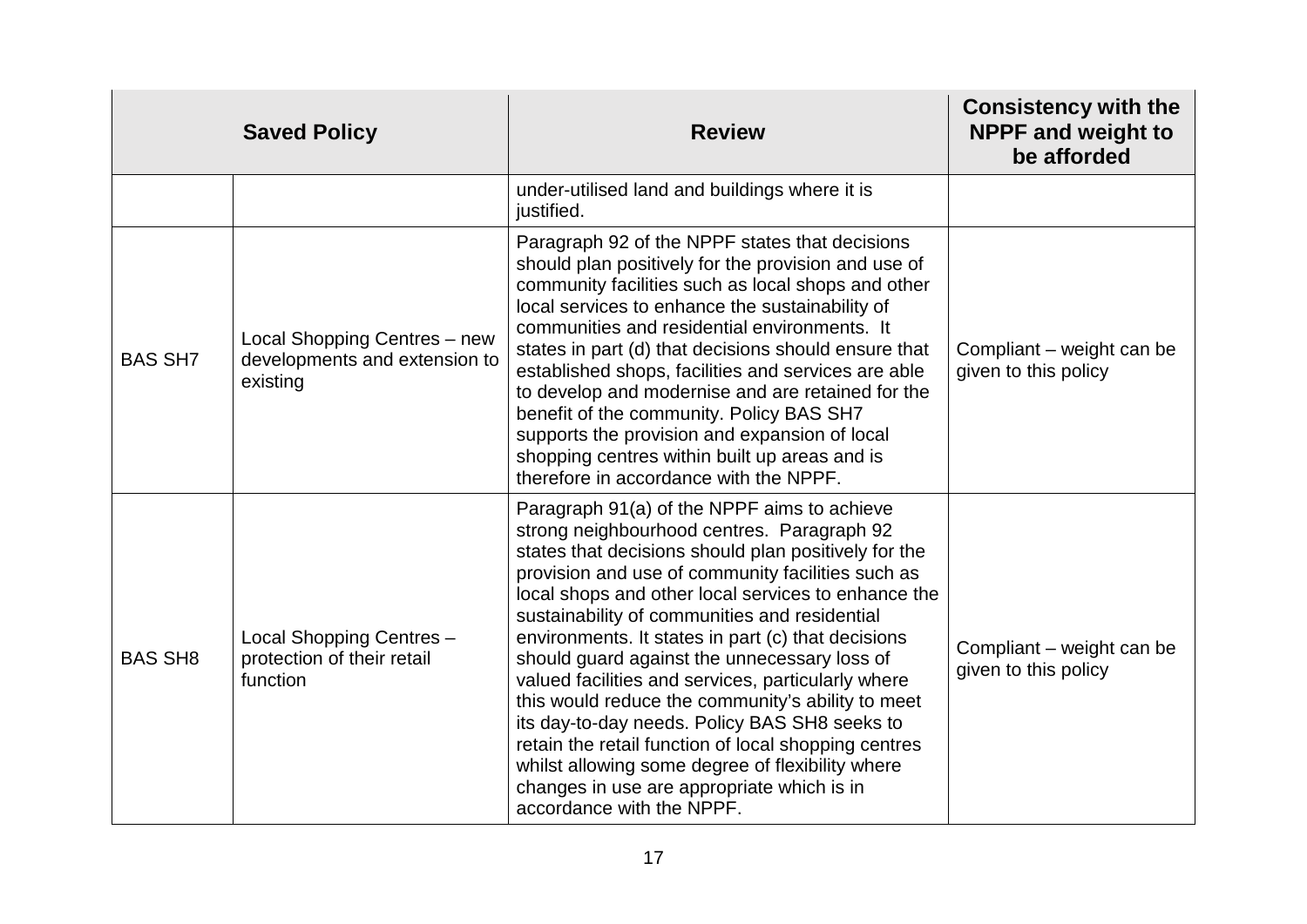|                | <b>Saved Policy</b>                                                       | <b>Review</b>                                                                                                                                                                                                                                                                                                                                                                                                                                                                                                                                                                                                                                                                                                                                                           | <b>Consistency with the</b><br><b>NPPF and weight to</b><br>be afforded |
|----------------|---------------------------------------------------------------------------|-------------------------------------------------------------------------------------------------------------------------------------------------------------------------------------------------------------------------------------------------------------------------------------------------------------------------------------------------------------------------------------------------------------------------------------------------------------------------------------------------------------------------------------------------------------------------------------------------------------------------------------------------------------------------------------------------------------------------------------------------------------------------|-------------------------------------------------------------------------|
|                |                                                                           | under-utilised land and buildings where it is<br>justified.                                                                                                                                                                                                                                                                                                                                                                                                                                                                                                                                                                                                                                                                                                             |                                                                         |
| <b>BAS SH7</b> | Local Shopping Centres - new<br>developments and extension to<br>existing | Paragraph 92 of the NPPF states that decisions<br>should plan positively for the provision and use of<br>community facilities such as local shops and other<br>local services to enhance the sustainability of<br>communities and residential environments. It<br>states in part (d) that decisions should ensure that<br>established shops, facilities and services are able<br>to develop and modernise and are retained for the<br>benefit of the community. Policy BAS SH7<br>supports the provision and expansion of local<br>shopping centres within built up areas and is<br>therefore in accordance with the NPPF.                                                                                                                                              | Compliant – weight can be<br>given to this policy                       |
| <b>BAS SH8</b> | Local Shopping Centres -<br>protection of their retail<br>function        | Paragraph 91(a) of the NPPF aims to achieve<br>strong neighbourhood centres. Paragraph 92<br>states that decisions should plan positively for the<br>provision and use of community facilities such as<br>local shops and other local services to enhance the<br>sustainability of communities and residential<br>environments. It states in part (c) that decisions<br>should guard against the unnecessary loss of<br>valued facilities and services, particularly where<br>this would reduce the community's ability to meet<br>its day-to-day needs. Policy BAS SH8 seeks to<br>retain the retail function of local shopping centres<br>whilst allowing some degree of flexibility where<br>changes in use are appropriate which is in<br>accordance with the NPPF. | Compliant - weight can be<br>given to this policy                       |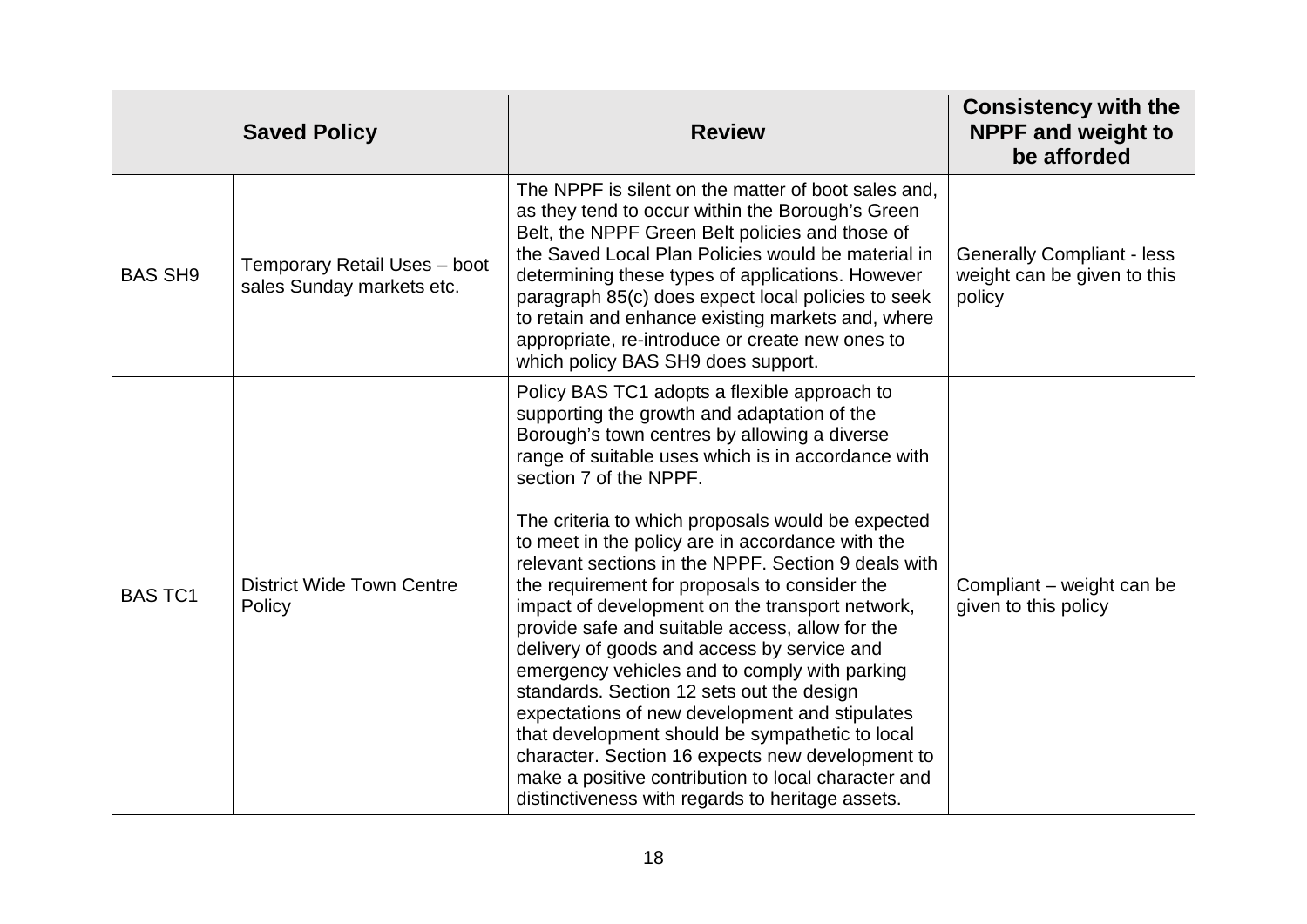|                | <b>Saved Policy</b>                                       | <b>Review</b>                                                                                                                                                                                                                                                                                                                                                                                                                                                                                                                                                                                                                                                                                                                                                                                                                                                                                                                                                       | <b>Consistency with the</b><br><b>NPPF and weight to</b><br>be afforded    |
|----------------|-----------------------------------------------------------|---------------------------------------------------------------------------------------------------------------------------------------------------------------------------------------------------------------------------------------------------------------------------------------------------------------------------------------------------------------------------------------------------------------------------------------------------------------------------------------------------------------------------------------------------------------------------------------------------------------------------------------------------------------------------------------------------------------------------------------------------------------------------------------------------------------------------------------------------------------------------------------------------------------------------------------------------------------------|----------------------------------------------------------------------------|
| <b>BAS SH9</b> | Temporary Retail Uses - boot<br>sales Sunday markets etc. | The NPPF is silent on the matter of boot sales and,<br>as they tend to occur within the Borough's Green<br>Belt, the NPPF Green Belt policies and those of<br>the Saved Local Plan Policies would be material in<br>determining these types of applications. However<br>paragraph 85(c) does expect local policies to seek<br>to retain and enhance existing markets and, where<br>appropriate, re-introduce or create new ones to<br>which policy BAS SH9 does support.                                                                                                                                                                                                                                                                                                                                                                                                                                                                                            | <b>Generally Compliant - less</b><br>weight can be given to this<br>policy |
| <b>BAS TC1</b> | <b>District Wide Town Centre</b><br>Policy                | Policy BAS TC1 adopts a flexible approach to<br>supporting the growth and adaptation of the<br>Borough's town centres by allowing a diverse<br>range of suitable uses which is in accordance with<br>section 7 of the NPPF.<br>The criteria to which proposals would be expected<br>to meet in the policy are in accordance with the<br>relevant sections in the NPPF. Section 9 deals with<br>the requirement for proposals to consider the<br>impact of development on the transport network,<br>provide safe and suitable access, allow for the<br>delivery of goods and access by service and<br>emergency vehicles and to comply with parking<br>standards. Section 12 sets out the design<br>expectations of new development and stipulates<br>that development should be sympathetic to local<br>character. Section 16 expects new development to<br>make a positive contribution to local character and<br>distinctiveness with regards to heritage assets. | Compliant – weight can be<br>given to this policy                          |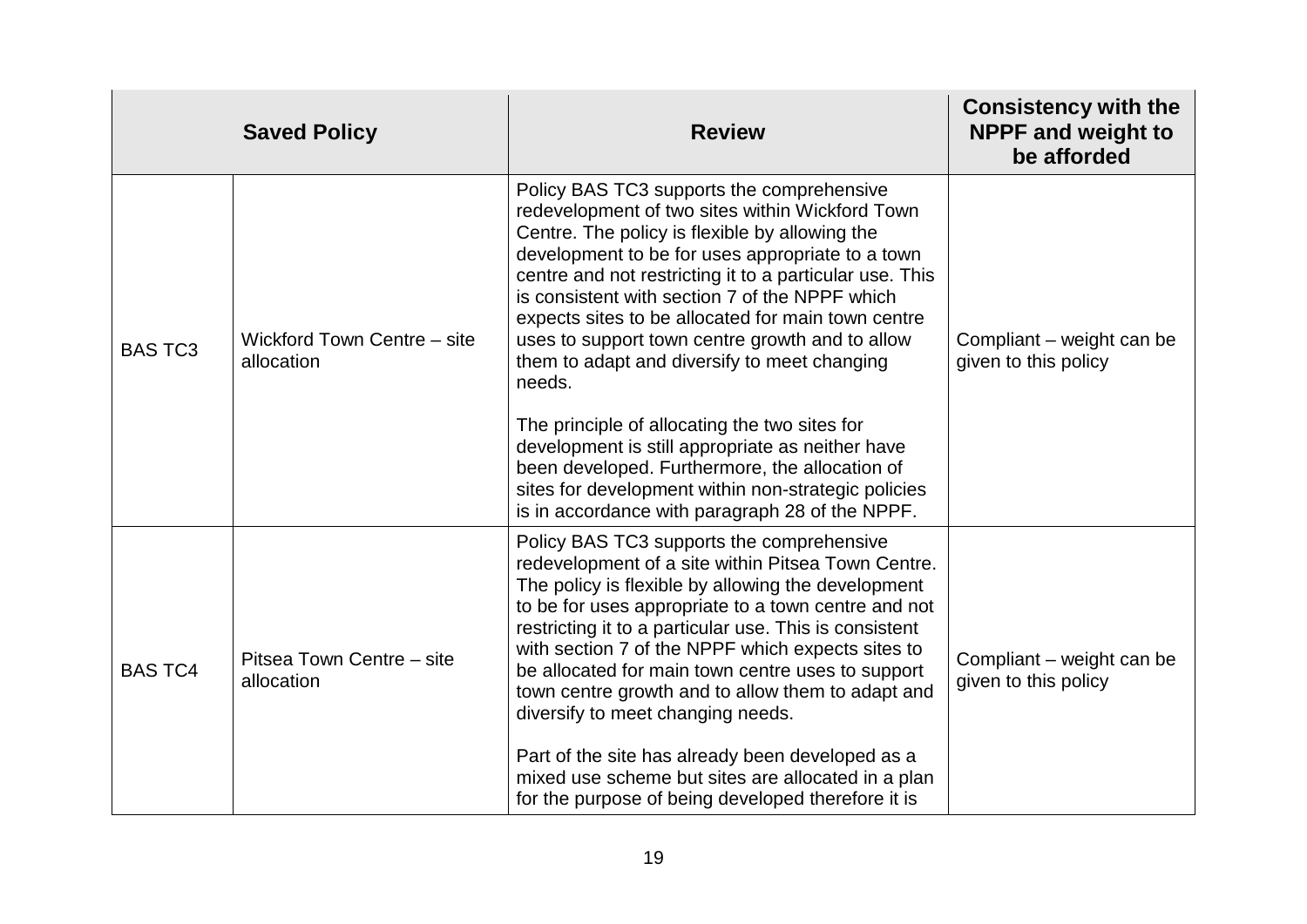|                | <b>Saved Policy</b>                       | <b>Review</b>                                                                                                                                                                                                                                                                                                                                                                                                                                                                                                                                                                                                                                                                                                                                       | <b>Consistency with the</b><br><b>NPPF and weight to</b><br>be afforded |
|----------------|-------------------------------------------|-----------------------------------------------------------------------------------------------------------------------------------------------------------------------------------------------------------------------------------------------------------------------------------------------------------------------------------------------------------------------------------------------------------------------------------------------------------------------------------------------------------------------------------------------------------------------------------------------------------------------------------------------------------------------------------------------------------------------------------------------------|-------------------------------------------------------------------------|
| <b>BAS TC3</b> | Wickford Town Centre - site<br>allocation | Policy BAS TC3 supports the comprehensive<br>redevelopment of two sites within Wickford Town<br>Centre. The policy is flexible by allowing the<br>development to be for uses appropriate to a town<br>centre and not restricting it to a particular use. This<br>is consistent with section 7 of the NPPF which<br>expects sites to be allocated for main town centre<br>uses to support town centre growth and to allow<br>them to adapt and diversify to meet changing<br>needs.<br>The principle of allocating the two sites for<br>development is still appropriate as neither have<br>been developed. Furthermore, the allocation of<br>sites for development within non-strategic policies<br>is in accordance with paragraph 28 of the NPPF. | Compliant – weight can be<br>given to this policy                       |
| <b>BAS TC4</b> | Pitsea Town Centre – site<br>allocation   | Policy BAS TC3 supports the comprehensive<br>redevelopment of a site within Pitsea Town Centre.<br>The policy is flexible by allowing the development<br>to be for uses appropriate to a town centre and not<br>restricting it to a particular use. This is consistent<br>with section 7 of the NPPF which expects sites to<br>be allocated for main town centre uses to support<br>town centre growth and to allow them to adapt and<br>diversify to meet changing needs.<br>Part of the site has already been developed as a<br>mixed use scheme but sites are allocated in a plan<br>for the purpose of being developed therefore it is                                                                                                          | Compliant - weight can be<br>given to this policy                       |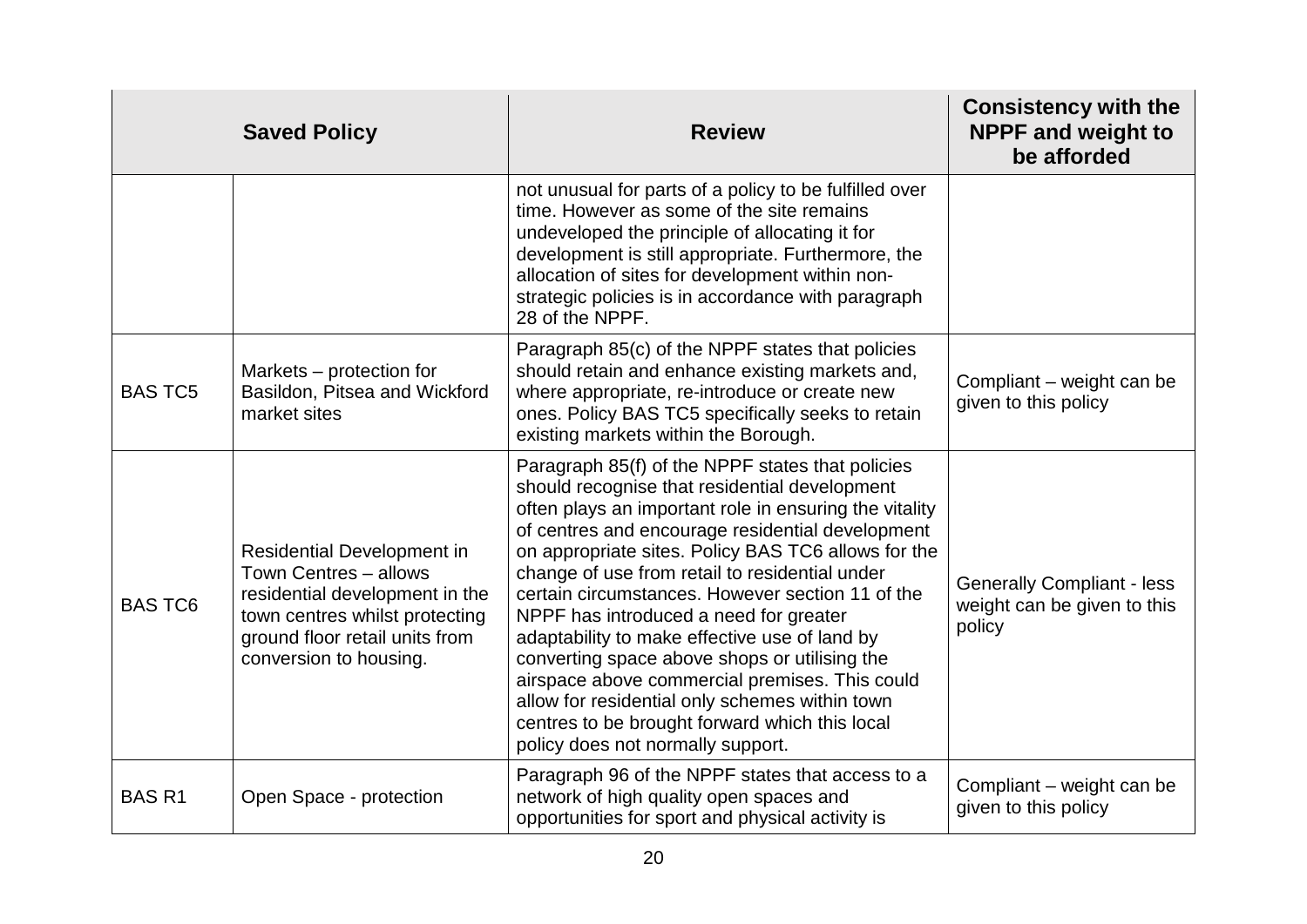|                | <b>Saved Policy</b>                                                                                                                                                                 | <b>Review</b>                                                                                                                                                                                                                                                                                                                                                                                                                                                                                                                                                                                                                                                                                                       | <b>Consistency with the</b><br><b>NPPF and weight to</b><br>be afforded    |
|----------------|-------------------------------------------------------------------------------------------------------------------------------------------------------------------------------------|---------------------------------------------------------------------------------------------------------------------------------------------------------------------------------------------------------------------------------------------------------------------------------------------------------------------------------------------------------------------------------------------------------------------------------------------------------------------------------------------------------------------------------------------------------------------------------------------------------------------------------------------------------------------------------------------------------------------|----------------------------------------------------------------------------|
|                |                                                                                                                                                                                     | not unusual for parts of a policy to be fulfilled over<br>time. However as some of the site remains<br>undeveloped the principle of allocating it for<br>development is still appropriate. Furthermore, the<br>allocation of sites for development within non-<br>strategic policies is in accordance with paragraph<br>28 of the NPPF.                                                                                                                                                                                                                                                                                                                                                                             |                                                                            |
| <b>BAS TC5</b> | Markets – protection for<br>Basildon, Pitsea and Wickford<br>market sites                                                                                                           | Paragraph 85(c) of the NPPF states that policies<br>should retain and enhance existing markets and,<br>where appropriate, re-introduce or create new<br>ones. Policy BAS TC5 specifically seeks to retain<br>existing markets within the Borough.                                                                                                                                                                                                                                                                                                                                                                                                                                                                   | Compliant - weight can be<br>given to this policy                          |
| <b>BAS TC6</b> | Residential Development in<br>Town Centres - allows<br>residential development in the<br>town centres whilst protecting<br>ground floor retail units from<br>conversion to housing. | Paragraph 85(f) of the NPPF states that policies<br>should recognise that residential development<br>often plays an important role in ensuring the vitality<br>of centres and encourage residential development<br>on appropriate sites. Policy BAS TC6 allows for the<br>change of use from retail to residential under<br>certain circumstances. However section 11 of the<br>NPPF has introduced a need for greater<br>adaptability to make effective use of land by<br>converting space above shops or utilising the<br>airspace above commercial premises. This could<br>allow for residential only schemes within town<br>centres to be brought forward which this local<br>policy does not normally support. | <b>Generally Compliant - less</b><br>weight can be given to this<br>policy |
| <b>BASR1</b>   | Open Space - protection                                                                                                                                                             | Paragraph 96 of the NPPF states that access to a<br>network of high quality open spaces and<br>opportunities for sport and physical activity is                                                                                                                                                                                                                                                                                                                                                                                                                                                                                                                                                                     | Compliant - weight can be<br>given to this policy                          |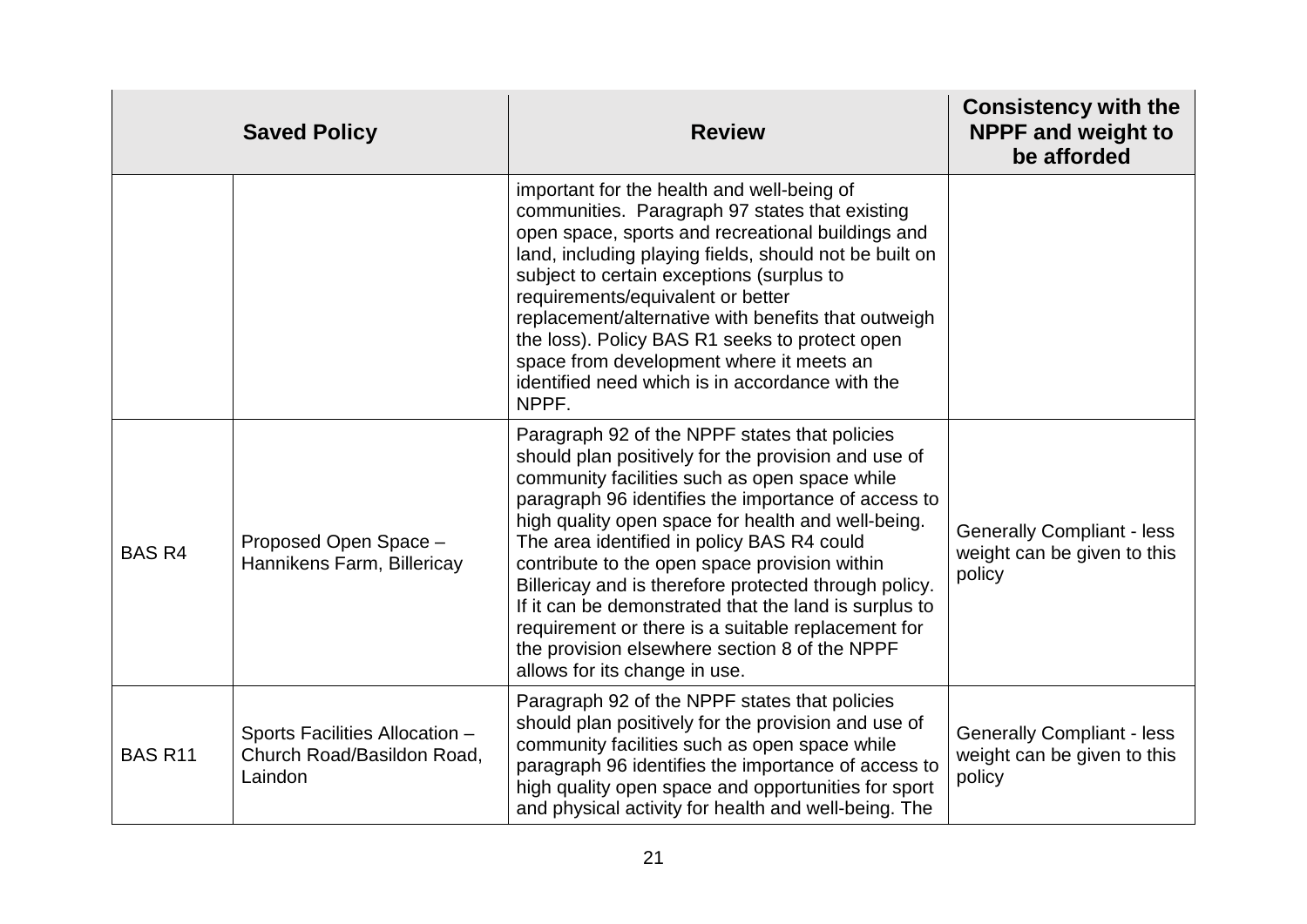|                | <b>Saved Policy</b>                                                     | <b>Review</b>                                                                                                                                                                                                                                                                                                                                                                                                                                                                                                                                                                                                               | <b>Consistency with the</b><br><b>NPPF and weight to</b><br>be afforded    |
|----------------|-------------------------------------------------------------------------|-----------------------------------------------------------------------------------------------------------------------------------------------------------------------------------------------------------------------------------------------------------------------------------------------------------------------------------------------------------------------------------------------------------------------------------------------------------------------------------------------------------------------------------------------------------------------------------------------------------------------------|----------------------------------------------------------------------------|
|                |                                                                         | important for the health and well-being of<br>communities. Paragraph 97 states that existing<br>open space, sports and recreational buildings and<br>land, including playing fields, should not be built on<br>subject to certain exceptions (surplus to<br>requirements/equivalent or better<br>replacement/alternative with benefits that outweigh<br>the loss). Policy BAS R1 seeks to protect open<br>space from development where it meets an<br>identified need which is in accordance with the<br>NPPF.                                                                                                              |                                                                            |
| <b>BAS R4</b>  | Proposed Open Space -<br>Hannikens Farm, Billericay                     | Paragraph 92 of the NPPF states that policies<br>should plan positively for the provision and use of<br>community facilities such as open space while<br>paragraph 96 identifies the importance of access to<br>high quality open space for health and well-being.<br>The area identified in policy BAS R4 could<br>contribute to the open space provision within<br>Billericay and is therefore protected through policy.<br>If it can be demonstrated that the land is surplus to<br>requirement or there is a suitable replacement for<br>the provision elsewhere section 8 of the NPPF<br>allows for its change in use. | <b>Generally Compliant - less</b><br>weight can be given to this<br>policy |
| <b>BAS R11</b> | Sports Facilities Allocation -<br>Church Road/Basildon Road,<br>Laindon | Paragraph 92 of the NPPF states that policies<br>should plan positively for the provision and use of<br>community facilities such as open space while<br>paragraph 96 identifies the importance of access to<br>high quality open space and opportunities for sport<br>and physical activity for health and well-being. The                                                                                                                                                                                                                                                                                                 | <b>Generally Compliant - less</b><br>weight can be given to this<br>policy |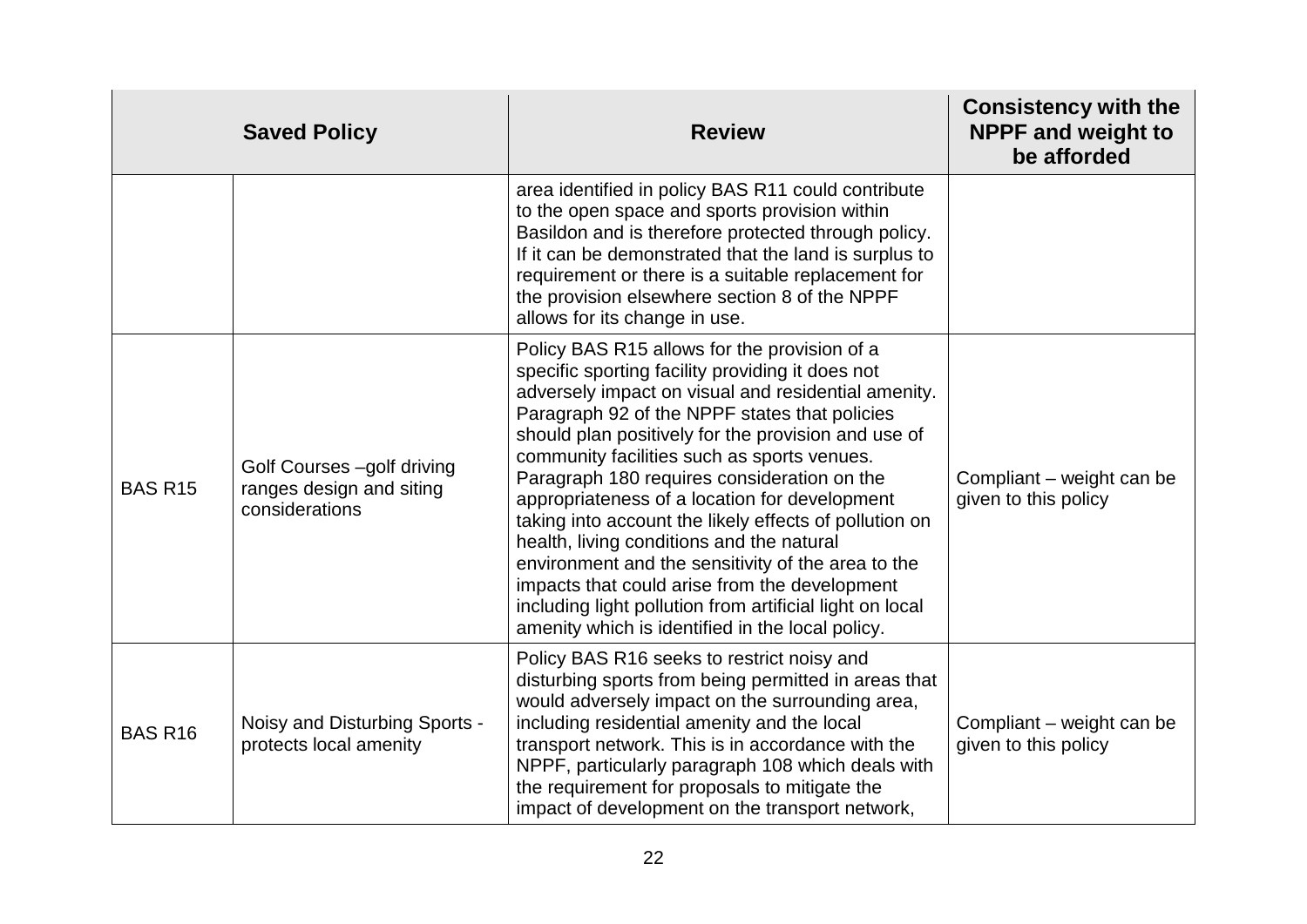|                | <b>Saved Policy</b>                                                      | <b>Review</b>                                                                                                                                                                                                                                                                                                                                                                                                                                                                                                                                                                                                                                                                                                                                | <b>Consistency with the</b><br><b>NPPF and weight to</b><br>be afforded |
|----------------|--------------------------------------------------------------------------|----------------------------------------------------------------------------------------------------------------------------------------------------------------------------------------------------------------------------------------------------------------------------------------------------------------------------------------------------------------------------------------------------------------------------------------------------------------------------------------------------------------------------------------------------------------------------------------------------------------------------------------------------------------------------------------------------------------------------------------------|-------------------------------------------------------------------------|
|                |                                                                          | area identified in policy BAS R11 could contribute<br>to the open space and sports provision within<br>Basildon and is therefore protected through policy.<br>If it can be demonstrated that the land is surplus to<br>requirement or there is a suitable replacement for<br>the provision elsewhere section 8 of the NPPF<br>allows for its change in use.                                                                                                                                                                                                                                                                                                                                                                                  |                                                                         |
| <b>BAS R15</b> | Golf Courses -golf driving<br>ranges design and siting<br>considerations | Policy BAS R15 allows for the provision of a<br>specific sporting facility providing it does not<br>adversely impact on visual and residential amenity.<br>Paragraph 92 of the NPPF states that policies<br>should plan positively for the provision and use of<br>community facilities such as sports venues.<br>Paragraph 180 requires consideration on the<br>appropriateness of a location for development<br>taking into account the likely effects of pollution on<br>health, living conditions and the natural<br>environment and the sensitivity of the area to the<br>impacts that could arise from the development<br>including light pollution from artificial light on local<br>amenity which is identified in the local policy. | Compliant - weight can be<br>given to this policy                       |
| <b>BAS R16</b> | Noisy and Disturbing Sports -<br>protects local amenity                  | Policy BAS R16 seeks to restrict noisy and<br>disturbing sports from being permitted in areas that<br>would adversely impact on the surrounding area,<br>including residential amenity and the local<br>transport network. This is in accordance with the<br>NPPF, particularly paragraph 108 which deals with<br>the requirement for proposals to mitigate the<br>impact of development on the transport network,                                                                                                                                                                                                                                                                                                                           | Compliant - weight can be<br>given to this policy                       |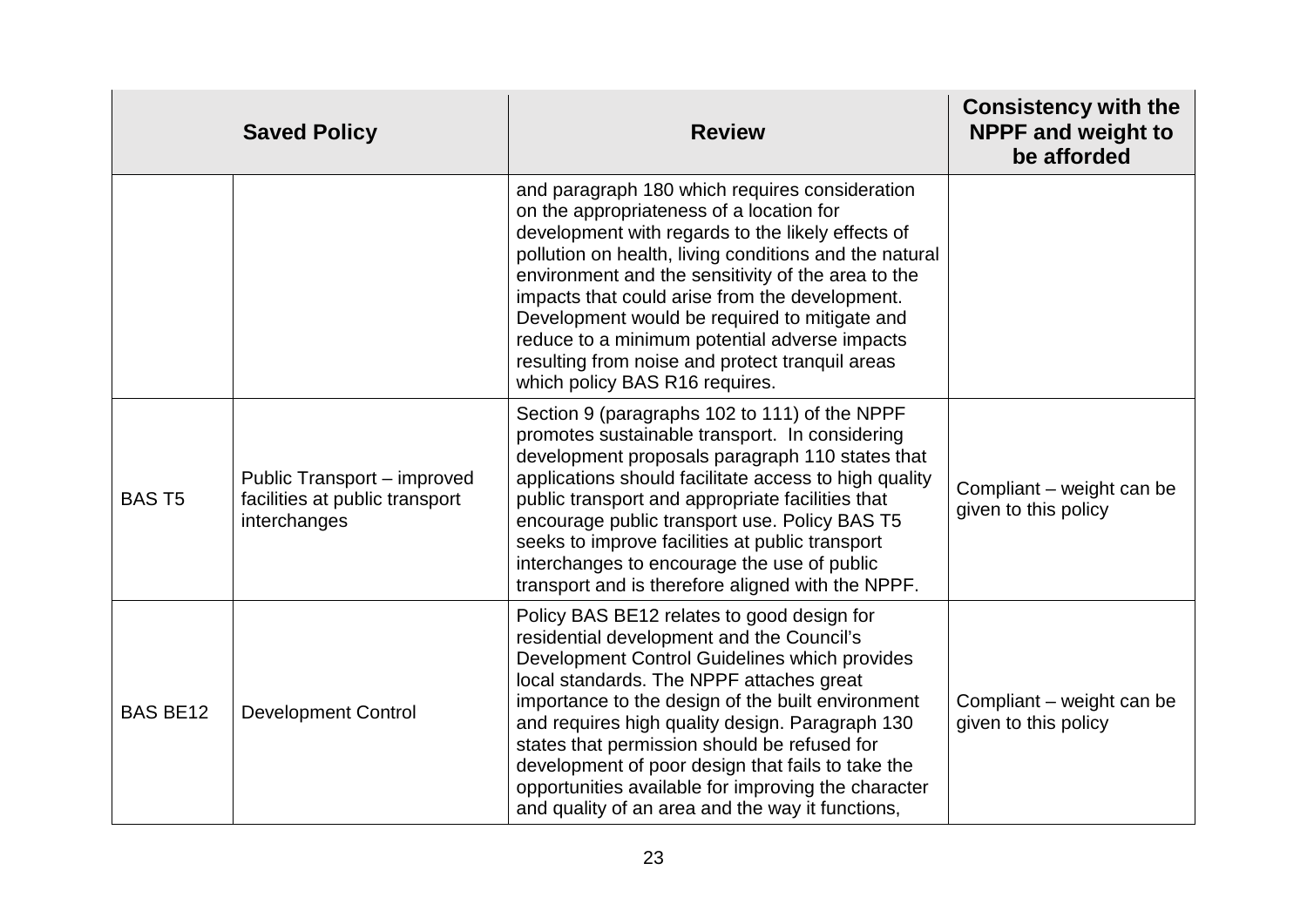|                 | <b>Saved Policy</b>                                                           | <b>Review</b>                                                                                                                                                                                                                                                                                                                                                                                                                                                                                                | <b>Consistency with the</b><br><b>NPPF and weight to</b><br>be afforded |
|-----------------|-------------------------------------------------------------------------------|--------------------------------------------------------------------------------------------------------------------------------------------------------------------------------------------------------------------------------------------------------------------------------------------------------------------------------------------------------------------------------------------------------------------------------------------------------------------------------------------------------------|-------------------------------------------------------------------------|
|                 |                                                                               | and paragraph 180 which requires consideration<br>on the appropriateness of a location for<br>development with regards to the likely effects of<br>pollution on health, living conditions and the natural<br>environment and the sensitivity of the area to the<br>impacts that could arise from the development.<br>Development would be required to mitigate and<br>reduce to a minimum potential adverse impacts<br>resulting from noise and protect tranquil areas<br>which policy BAS R16 requires.     |                                                                         |
| <b>BAST5</b>    | Public Transport - improved<br>facilities at public transport<br>interchanges | Section 9 (paragraphs 102 to 111) of the NPPF<br>promotes sustainable transport. In considering<br>development proposals paragraph 110 states that<br>applications should facilitate access to high quality<br>public transport and appropriate facilities that<br>encourage public transport use. Policy BAS T5<br>seeks to improve facilities at public transport<br>interchanges to encourage the use of public<br>transport and is therefore aligned with the NPPF.                                      | Compliant – weight can be<br>given to this policy                       |
| <b>BAS BE12</b> | <b>Development Control</b>                                                    | Policy BAS BE12 relates to good design for<br>residential development and the Council's<br>Development Control Guidelines which provides<br>local standards. The NPPF attaches great<br>importance to the design of the built environment<br>and requires high quality design. Paragraph 130<br>states that permission should be refused for<br>development of poor design that fails to take the<br>opportunities available for improving the character<br>and quality of an area and the way it functions, | Compliant - weight can be<br>given to this policy                       |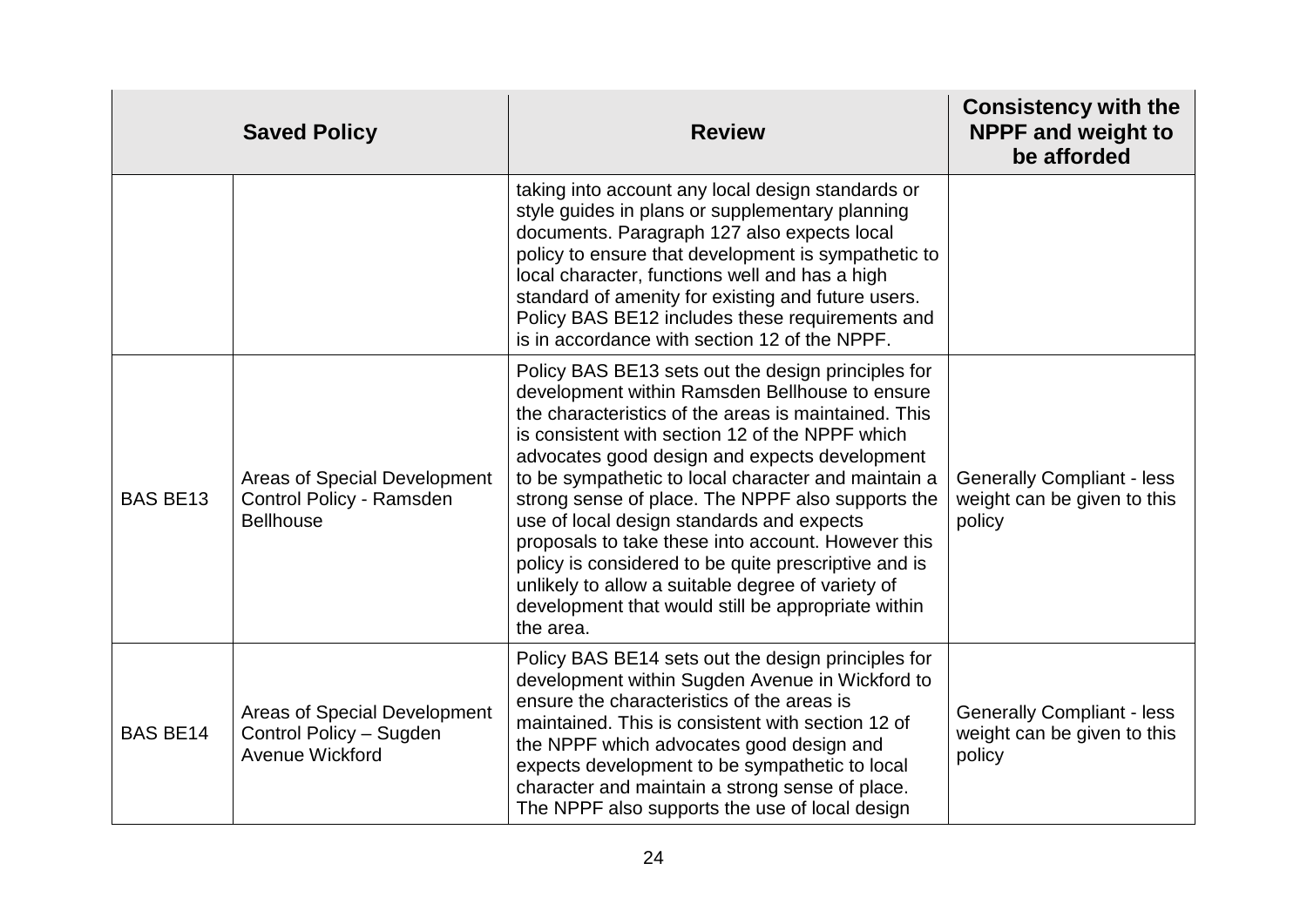|                 | <b>Saved Policy</b>                                                                 | <b>Review</b>                                                                                                                                                                                                                                                                                                                                                                                                                                                                                                                                                                                                                                                   | <b>Consistency with the</b><br><b>NPPF and weight to</b><br>be afforded    |
|-----------------|-------------------------------------------------------------------------------------|-----------------------------------------------------------------------------------------------------------------------------------------------------------------------------------------------------------------------------------------------------------------------------------------------------------------------------------------------------------------------------------------------------------------------------------------------------------------------------------------------------------------------------------------------------------------------------------------------------------------------------------------------------------------|----------------------------------------------------------------------------|
|                 |                                                                                     | taking into account any local design standards or<br>style guides in plans or supplementary planning<br>documents. Paragraph 127 also expects local<br>policy to ensure that development is sympathetic to<br>local character, functions well and has a high<br>standard of amenity for existing and future users.<br>Policy BAS BE12 includes these requirements and<br>is in accordance with section 12 of the NPPF.                                                                                                                                                                                                                                          |                                                                            |
| <b>BAS BE13</b> | <b>Areas of Special Development</b><br>Control Policy - Ramsden<br><b>Bellhouse</b> | Policy BAS BE13 sets out the design principles for<br>development within Ramsden Bellhouse to ensure<br>the characteristics of the areas is maintained. This<br>is consistent with section 12 of the NPPF which<br>advocates good design and expects development<br>to be sympathetic to local character and maintain a<br>strong sense of place. The NPPF also supports the<br>use of local design standards and expects<br>proposals to take these into account. However this<br>policy is considered to be quite prescriptive and is<br>unlikely to allow a suitable degree of variety of<br>development that would still be appropriate within<br>the area. | <b>Generally Compliant - less</b><br>weight can be given to this<br>policy |
| <b>BAS BE14</b> | <b>Areas of Special Development</b><br>Control Policy - Sugden<br>Avenue Wickford   | Policy BAS BE14 sets out the design principles for<br>development within Sugden Avenue in Wickford to<br>ensure the characteristics of the areas is<br>maintained. This is consistent with section 12 of<br>the NPPF which advocates good design and<br>expects development to be sympathetic to local<br>character and maintain a strong sense of place.<br>The NPPF also supports the use of local design                                                                                                                                                                                                                                                     | <b>Generally Compliant - less</b><br>weight can be given to this<br>policy |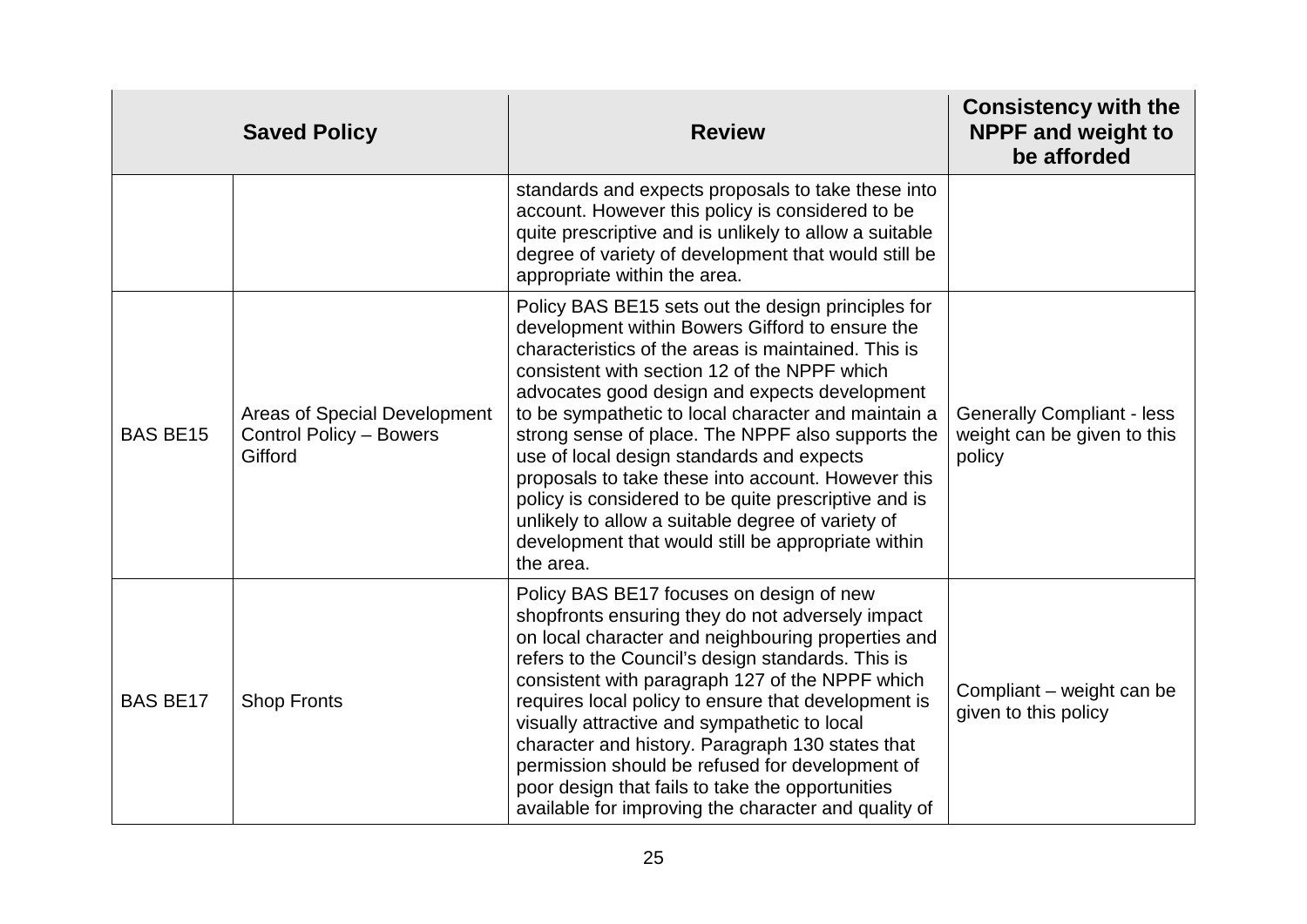|                 | <b>Saved Policy</b>                                                       | <b>Review</b>                                                                                                                                                                                                                                                                                                                                                                                                                                                                                                                                                                                                                                                | <b>Consistency with the</b><br><b>NPPF and weight to</b><br>be afforded    |
|-----------------|---------------------------------------------------------------------------|--------------------------------------------------------------------------------------------------------------------------------------------------------------------------------------------------------------------------------------------------------------------------------------------------------------------------------------------------------------------------------------------------------------------------------------------------------------------------------------------------------------------------------------------------------------------------------------------------------------------------------------------------------------|----------------------------------------------------------------------------|
|                 |                                                                           | standards and expects proposals to take these into<br>account. However this policy is considered to be<br>quite prescriptive and is unlikely to allow a suitable<br>degree of variety of development that would still be<br>appropriate within the area.                                                                                                                                                                                                                                                                                                                                                                                                     |                                                                            |
| <b>BAS BE15</b> | Areas of Special Development<br><b>Control Policy - Bowers</b><br>Gifford | Policy BAS BE15 sets out the design principles for<br>development within Bowers Gifford to ensure the<br>characteristics of the areas is maintained. This is<br>consistent with section 12 of the NPPF which<br>advocates good design and expects development<br>to be sympathetic to local character and maintain a<br>strong sense of place. The NPPF also supports the<br>use of local design standards and expects<br>proposals to take these into account. However this<br>policy is considered to be quite prescriptive and is<br>unlikely to allow a suitable degree of variety of<br>development that would still be appropriate within<br>the area. | <b>Generally Compliant - less</b><br>weight can be given to this<br>policy |
| <b>BAS BE17</b> | <b>Shop Fronts</b>                                                        | Policy BAS BE17 focuses on design of new<br>shopfronts ensuring they do not adversely impact<br>on local character and neighbouring properties and<br>refers to the Council's design standards. This is<br>consistent with paragraph 127 of the NPPF which<br>requires local policy to ensure that development is<br>visually attractive and sympathetic to local<br>character and history. Paragraph 130 states that<br>permission should be refused for development of<br>poor design that fails to take the opportunities<br>available for improving the character and quality of                                                                         | Compliant – weight can be<br>given to this policy                          |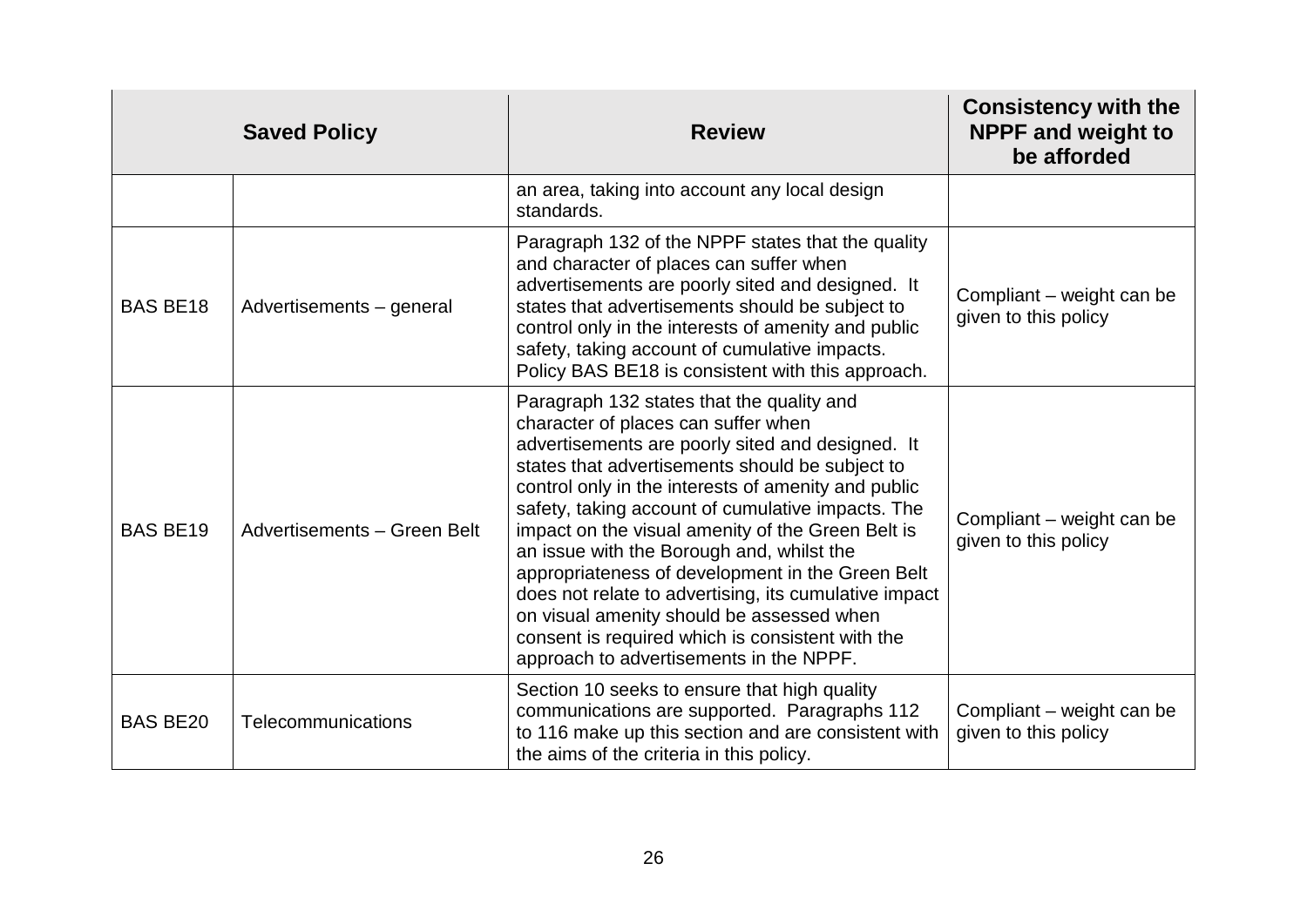|                 | <b>Saved Policy</b>         | <b>Review</b>                                                                                                                                                                                                                                                                                                                                                                                                                                                                                                                                                                                                                                                  | <b>Consistency with the</b><br><b>NPPF and weight to</b><br>be afforded |
|-----------------|-----------------------------|----------------------------------------------------------------------------------------------------------------------------------------------------------------------------------------------------------------------------------------------------------------------------------------------------------------------------------------------------------------------------------------------------------------------------------------------------------------------------------------------------------------------------------------------------------------------------------------------------------------------------------------------------------------|-------------------------------------------------------------------------|
|                 |                             | an area, taking into account any local design<br>standards.                                                                                                                                                                                                                                                                                                                                                                                                                                                                                                                                                                                                    |                                                                         |
| <b>BAS BE18</b> | Advertisements - general    | Paragraph 132 of the NPPF states that the quality<br>and character of places can suffer when<br>advertisements are poorly sited and designed. It<br>states that advertisements should be subject to<br>control only in the interests of amenity and public<br>safety, taking account of cumulative impacts.<br>Policy BAS BE18 is consistent with this approach.                                                                                                                                                                                                                                                                                               | Compliant – weight can be<br>given to this policy                       |
| <b>BAS BE19</b> | Advertisements - Green Belt | Paragraph 132 states that the quality and<br>character of places can suffer when<br>advertisements are poorly sited and designed. It<br>states that advertisements should be subject to<br>control only in the interests of amenity and public<br>safety, taking account of cumulative impacts. The<br>impact on the visual amenity of the Green Belt is<br>an issue with the Borough and, whilst the<br>appropriateness of development in the Green Belt<br>does not relate to advertising, its cumulative impact<br>on visual amenity should be assessed when<br>consent is required which is consistent with the<br>approach to advertisements in the NPPF. | Compliant – weight can be<br>given to this policy                       |
| <b>BAS BE20</b> | Telecommunications          | Section 10 seeks to ensure that high quality<br>communications are supported. Paragraphs 112<br>to 116 make up this section and are consistent with<br>the aims of the criteria in this policy.                                                                                                                                                                                                                                                                                                                                                                                                                                                                | Compliant – weight can be<br>given to this policy                       |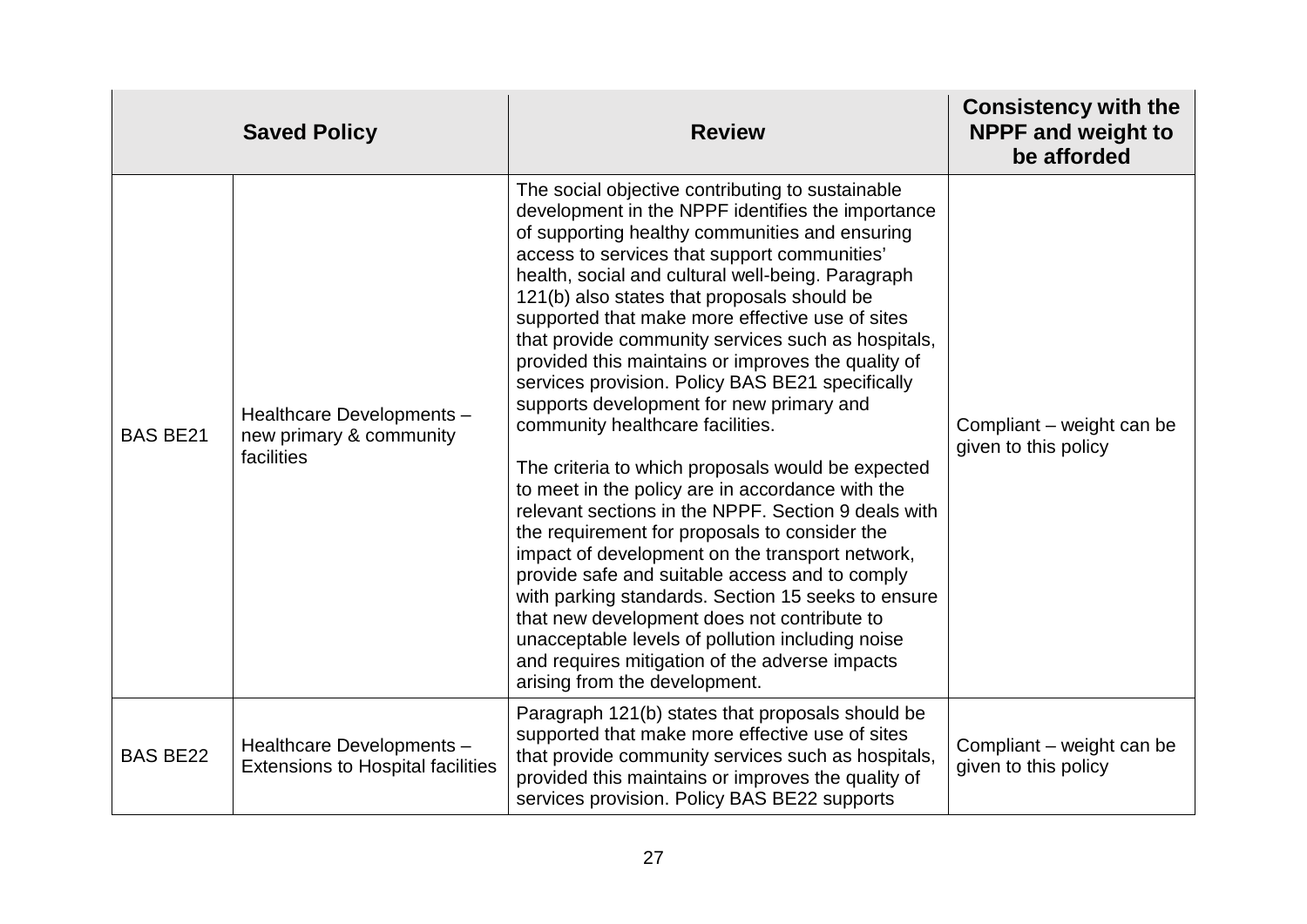|                 | <b>Saved Policy</b>                                                   | <b>Review</b>                                                                                                                                                                                                                                                                                                                                                                                                                                                                                                                                                                                                                                                                                                                                                                                                                                                                                                                                                                                                                                                                                                                                                                    | <b>Consistency with the</b><br><b>NPPF and weight to</b><br>be afforded |
|-----------------|-----------------------------------------------------------------------|----------------------------------------------------------------------------------------------------------------------------------------------------------------------------------------------------------------------------------------------------------------------------------------------------------------------------------------------------------------------------------------------------------------------------------------------------------------------------------------------------------------------------------------------------------------------------------------------------------------------------------------------------------------------------------------------------------------------------------------------------------------------------------------------------------------------------------------------------------------------------------------------------------------------------------------------------------------------------------------------------------------------------------------------------------------------------------------------------------------------------------------------------------------------------------|-------------------------------------------------------------------------|
| <b>BAS BE21</b> | Healthcare Developments -<br>new primary & community<br>facilities    | The social objective contributing to sustainable<br>development in the NPPF identifies the importance<br>of supporting healthy communities and ensuring<br>access to services that support communities'<br>health, social and cultural well-being. Paragraph<br>121(b) also states that proposals should be<br>supported that make more effective use of sites<br>that provide community services such as hospitals,<br>provided this maintains or improves the quality of<br>services provision. Policy BAS BE21 specifically<br>supports development for new primary and<br>community healthcare facilities.<br>The criteria to which proposals would be expected<br>to meet in the policy are in accordance with the<br>relevant sections in the NPPF. Section 9 deals with<br>the requirement for proposals to consider the<br>impact of development on the transport network,<br>provide safe and suitable access and to comply<br>with parking standards. Section 15 seeks to ensure<br>that new development does not contribute to<br>unacceptable levels of pollution including noise<br>and requires mitigation of the adverse impacts<br>arising from the development. | Compliant – weight can be<br>given to this policy                       |
| <b>BAS BE22</b> | Healthcare Developments -<br><b>Extensions to Hospital facilities</b> | Paragraph 121(b) states that proposals should be<br>supported that make more effective use of sites<br>that provide community services such as hospitals,<br>provided this maintains or improves the quality of<br>services provision. Policy BAS BE22 supports                                                                                                                                                                                                                                                                                                                                                                                                                                                                                                                                                                                                                                                                                                                                                                                                                                                                                                                  | Compliant – weight can be<br>given to this policy                       |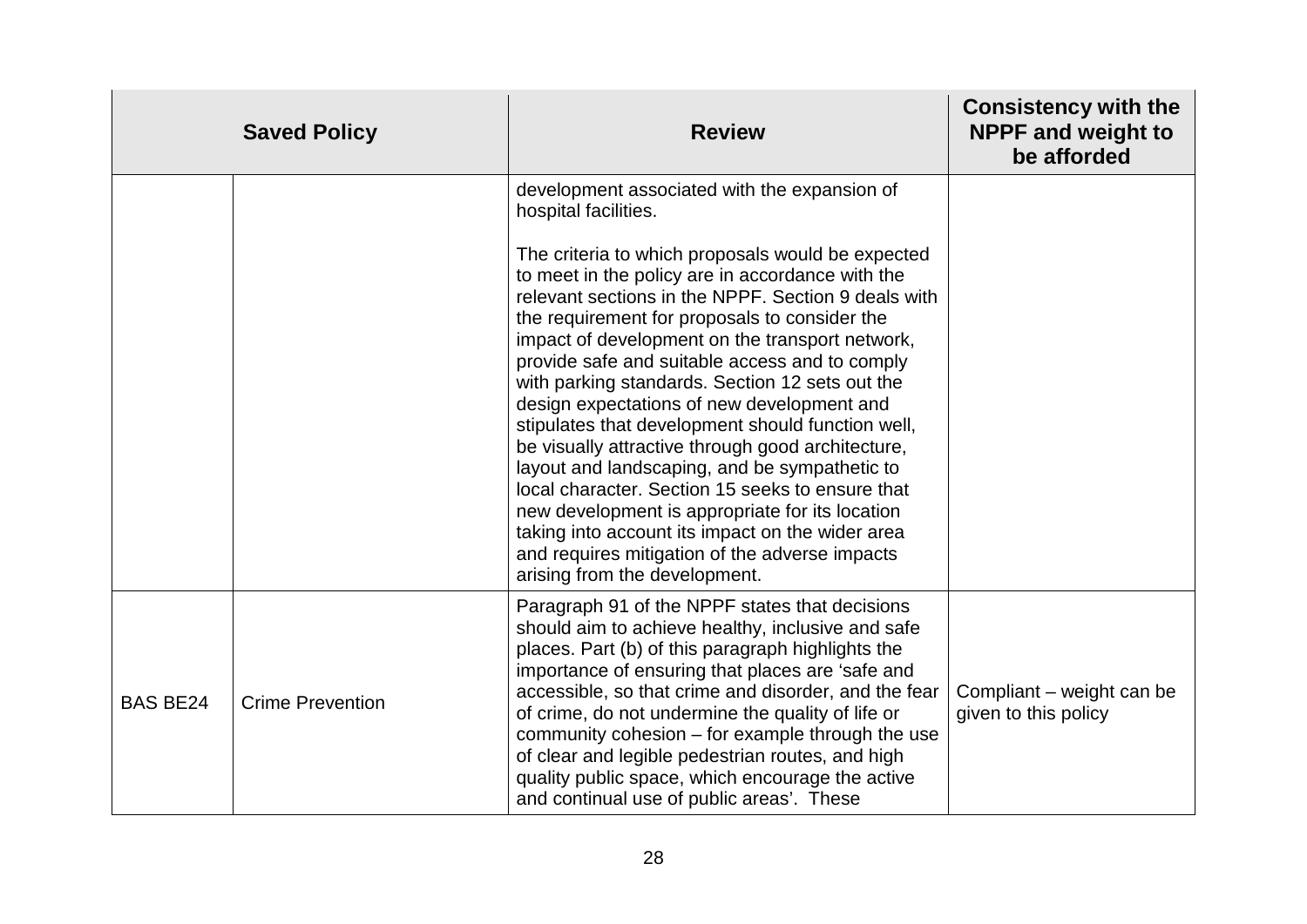|                 | <b>Saved Policy</b>     | <b>Review</b>                                                                                                                                                                                                                                                                                                                                                                                                                                                                                                                                                                                                                                                                                                                                                                                                                                                                                        | <b>Consistency with the</b><br><b>NPPF and weight to</b><br>be afforded |
|-----------------|-------------------------|------------------------------------------------------------------------------------------------------------------------------------------------------------------------------------------------------------------------------------------------------------------------------------------------------------------------------------------------------------------------------------------------------------------------------------------------------------------------------------------------------------------------------------------------------------------------------------------------------------------------------------------------------------------------------------------------------------------------------------------------------------------------------------------------------------------------------------------------------------------------------------------------------|-------------------------------------------------------------------------|
|                 |                         | development associated with the expansion of<br>hospital facilities.<br>The criteria to which proposals would be expected<br>to meet in the policy are in accordance with the<br>relevant sections in the NPPF. Section 9 deals with<br>the requirement for proposals to consider the<br>impact of development on the transport network,<br>provide safe and suitable access and to comply<br>with parking standards. Section 12 sets out the<br>design expectations of new development and<br>stipulates that development should function well,<br>be visually attractive through good architecture,<br>layout and landscaping, and be sympathetic to<br>local character. Section 15 seeks to ensure that<br>new development is appropriate for its location<br>taking into account its impact on the wider area<br>and requires mitigation of the adverse impacts<br>arising from the development. |                                                                         |
| <b>BAS BE24</b> | <b>Crime Prevention</b> | Paragraph 91 of the NPPF states that decisions<br>should aim to achieve healthy, inclusive and safe<br>places. Part (b) of this paragraph highlights the<br>importance of ensuring that places are 'safe and<br>accessible, so that crime and disorder, and the fear<br>of crime, do not undermine the quality of life or<br>community cohesion – for example through the use<br>of clear and legible pedestrian routes, and high<br>quality public space, which encourage the active<br>and continual use of public areas'. These                                                                                                                                                                                                                                                                                                                                                                   | Compliant – weight can be<br>given to this policy                       |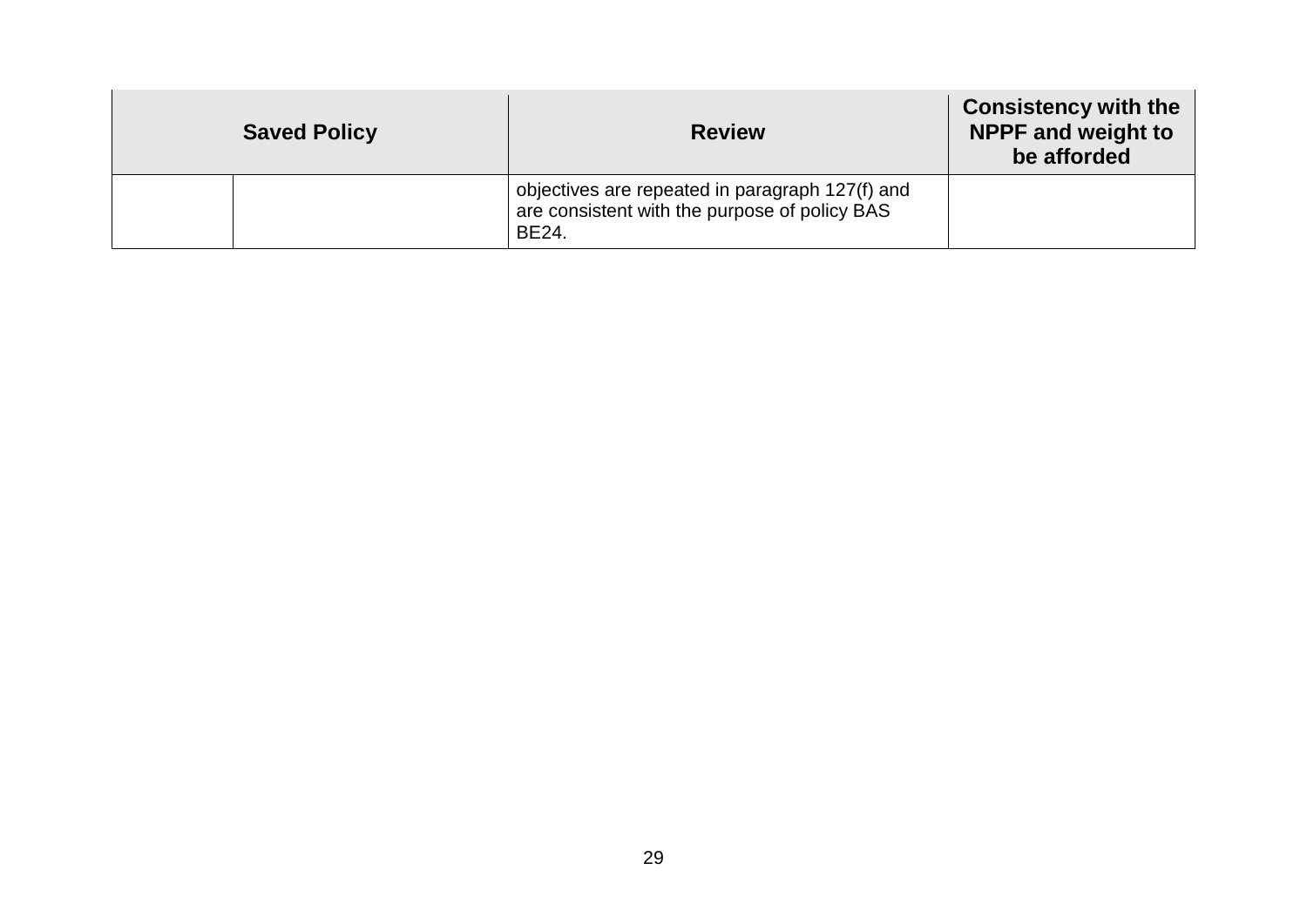| <b>Saved Policy</b> | <b>Review</b>                                                                                             | <b>Consistency with the</b><br><b>NPPF and weight to</b><br>be afforded |
|---------------------|-----------------------------------------------------------------------------------------------------------|-------------------------------------------------------------------------|
|                     | objectives are repeated in paragraph 127(f) and<br>are consistent with the purpose of policy BAS<br>BE24. |                                                                         |